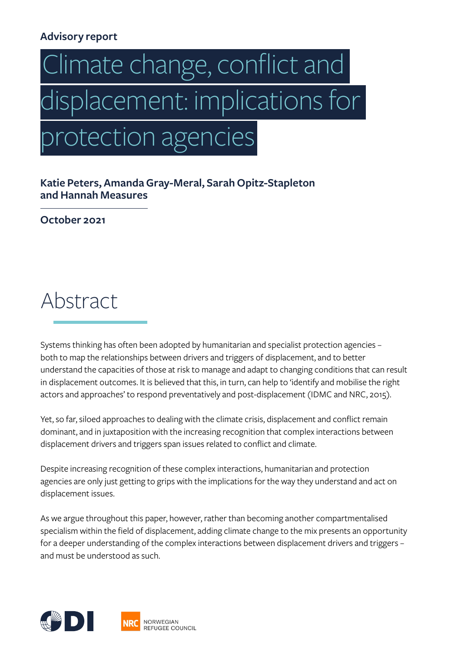## **Advisory report**

# Climate change, conflict and displacement: implications for protection agencies

**Katie Peters, Amanda Gray-Meral, Sarah Opitz-Stapleton and Hannah Measures** 

**October 2021**

Abstract

Systems thinking has often been adopted by humanitarian and specialist protection agencies – both to map the relationships between drivers and triggers of displacement, and to better understand the capacities of those at risk to manage and adapt to changing conditions that can result in displacement outcomes. It is believed that this, in turn, can help to 'identify and mobilise the right actors and approaches' to respond preventatively and post-displacement (IDMC and NRC, 2015).

Yet, so far, siloed approaches to dealing with the climate crisis, displacement and conflict remain dominant, and in juxtaposition with the increasing recognition that complex interactions between displacement drivers and triggers span issues related to conflict and climate.

Despite increasing recognition of these complex interactions, humanitarian and protection agencies are only just getting to grips with the implications for the way they understand and act on displacement issues.

As we argue throughout this paper, however, rather than becoming another compartmentalised specialism within the field of displacement, adding climate change to the mix presents an opportunity for a deeper understanding of the complex interactions between displacement drivers and triggers – and must be understood as such.

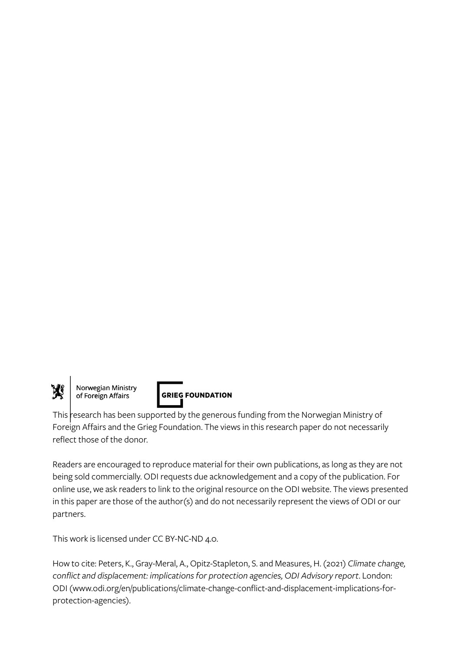

Norwegian Ministry<br>of Foreign Affairs



This research has been supported by the generous funding from the Norwegian Ministry of Foreign Affairs and the Grieg Foundation. The views in this research paper do not necessarily reflect those of the donor.

Readers are encouraged to reproduce material for their own publications, as long as they are not being sold commercially. ODI requests due acknowledgement and a copy of the publication. For online use, we ask readers to link to the original resource on the ODI website. The views presented in this paper are those of the author(s) and do not necessarily represent the views of ODI or our partners.

This work is licensed under CC BY-NC-ND 4.0.

How to cite: Peters, K., Gray-Meral, A., Opitz-Stapleton, S. and Measures, H. (2021) *Climate change, conflict and displacement: implications for protection agencies, ODI Advisory report*. London: ODI (www.odi.org/en/publications/climate-change-conflict-and-displacement-implications-forprotection-agencies).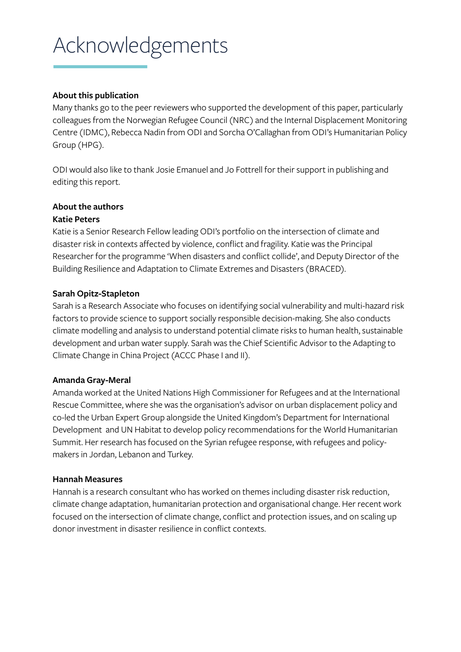# <span id="page-2-0"></span>Acknowledgements

#### **About this publication**

Many thanks go to the peer reviewers who supported the development of this paper, particularly colleagues from the Norwegian Refugee Council (NRC) and the Internal Displacement Monitoring Centre (IDMC), Rebecca Nadin from ODI and Sorcha O'Callaghan from ODI's Humanitarian Policy Group (HPG).

ODI would also like to thank Josie Emanuel and Jo Fottrell for their support in publishing and editing this report.

#### **About the authors**

#### **Katie Peters**

Katie is a Senior Research Fellow leading ODI's portfolio on the intersection of climate and disaster risk in contexts affected by violence, conflict and fragility. Katie was the Principal Researcher for the programme 'When disasters and conflict collide', and Deputy Director of the Building Resilience and Adaptation to Climate Extremes and Disasters (BRACED).

#### **Sarah Opitz-Stapleton**

Sarah is a Research Associate who focuses on identifying social vulnerability and multi-hazard risk factors to provide science to support socially responsible decision-making. She also conducts climate modelling and analysis to understand potential climate risks to human health, sustainable development and urban water supply. Sarah was the Chief Scientific Advisor to the Adapting to Climate Change in China Project (ACCC Phase I and II).

#### **Amanda Gray-Meral**

Amanda worked at the United Nations High Commissioner for Refugees and at the International Rescue Committee, where she was the organisation's advisor on urban displacement policy and co-led the Urban Expert Group alongside the United Kingdom's Department for International Development and UN Habitat to develop policy recommendations for the World Humanitarian Summit. Her research has focused on the Syrian refugee response, with refugees and policymakers in Jordan, Lebanon and Turkey.

#### **Hannah Measures**

Hannah is a research consultant who has worked on themes including disaster risk reduction, climate change adaptation, humanitarian protection and organisational change. Her recent work focused on the intersection of climate change, conflict and protection issues, and on scaling up donor investment in disaster resilience in conflict contexts.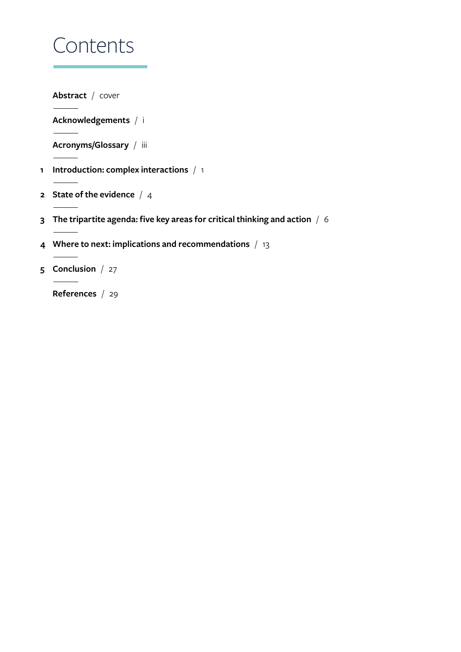# Contents

**Abstract** [/](#page-2-0) cover

**Acknowledgements** / i

**[Acronyms/Glossary](#page-4-0)** / iii

- **1 [Introduction: complex interactions](#page-5-0)** / 1
- **2 [State of the evidence](#page-5-0)** / 4
- **3 [The tripartite agenda: five key areas for critical thinking and action](#page-5-0)** / 6
- **4 [Where to next: implications and recommendations](#page-5-0)** / 13
- **5 [Conclusion](#page-5-0)** / 27

**[References](#page-8-0)** / 29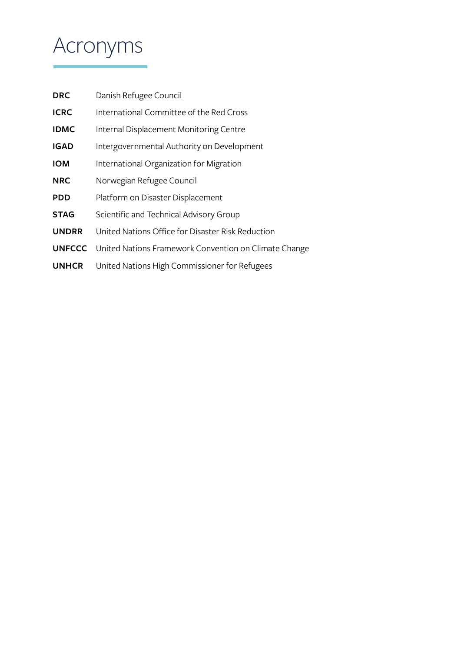# <span id="page-4-0"></span>Acronyms

| <b>DRC</b>    | Danish Refugee Council                                |
|---------------|-------------------------------------------------------|
| <b>ICRC</b>   | International Committee of the Red Cross              |
| <b>IDMC</b>   | Internal Displacement Monitoring Centre               |
| <b>IGAD</b>   | Intergovernmental Authority on Development            |
| <b>IOM</b>    | International Organization for Migration              |
| <b>NRC</b>    | Norwegian Refugee Council                             |
| <b>PDD</b>    | Platform on Disaster Displacement                     |
| <b>STAG</b>   | Scientific and Technical Advisory Group               |
| <b>UNDRR</b>  | United Nations Office for Disaster Risk Reduction     |
| <b>UNFCCC</b> | United Nations Framework Convention on Climate Change |
| <b>UNHCR</b>  | United Nations High Commissioner for Refugees         |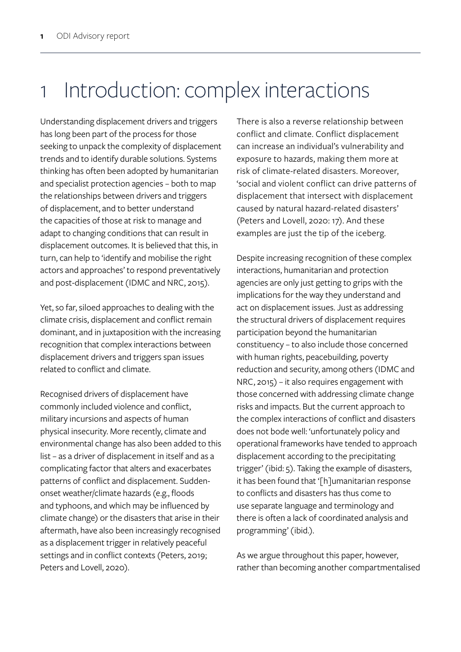# <span id="page-5-0"></span>1 Introduction: complex interactions

Understanding displacement drivers and triggers has long been part of the process for those seeking to unpack the complexity of displacement trends and to identify durable solutions. Systems thinking has often been adopted by humanitarian and specialist protection agencies – both to map the relationships between drivers and triggers of displacement, and to better understand the capacities of those at risk to manage and adapt to changing conditions that can result in displacement outcomes. It is believed that this, in turn, can help to 'identify and mobilise the right actors and approaches' to respond preventatively and post-displacement (IDMC and NRC, 2015).

Yet, so far, siloed approaches to dealing with the climate crisis, displacement and conflict remain dominant, and in juxtaposition with the increasing recognition that complex interactions between displacement drivers and triggers span issues related to conflict and climate.

Recognised drivers of displacement have commonly included violence and conflict, military incursions and aspects of human physical insecurity. More recently, climate and environmental change has also been added to this list – as a driver of displacement in itself and as a complicating factor that alters and exacerbates patterns of conflict and displacement. Suddenonset weather/climate hazards (e.g., floods and typhoons, and which may be influenced by climate change) or the disasters that arise in their aftermath, have also been increasingly recognised as a displacement trigger in relatively peaceful settings and in conflict contexts (Peters, 2019; Peters and Lovell, 2020).

There is also a reverse relationship between conflict and climate. Conflict displacement can increase an individual's vulnerability and exposure to hazards, making them more at risk of climate-related disasters. Moreover, 'social and violent conflict can drive patterns of displacement that intersect with displacement caused by natural hazard-related disasters' (Peters and Lovell, 2020: 17). And these examples are just the tip of the iceberg.

Despite increasing recognition of these complex interactions, humanitarian and protection agencies are only just getting to grips with the implications for the way they understand and act on displacement issues. Just as addressing the structural drivers of displacement requires participation beyond the humanitarian constituency – to also include those concerned with human rights, peacebuilding, poverty reduction and security, among others (IDMC and NRC, 2015) – it also requires engagement with those concerned with addressing climate change risks and impacts. But the current approach to the complex interactions of conflict and disasters does not bode well: 'unfortunately policy and operational frameworks have tended to approach displacement according to the precipitating trigger' (ibid: 5). Taking the example of disasters, it has been found that '[h]umanitarian response to conflicts and disasters has thus come to use separate language and terminology and there is often a lack of coordinated analysis and programming' (ibid.).

As we argue throughout this paper, however, rather than becoming another compartmentalised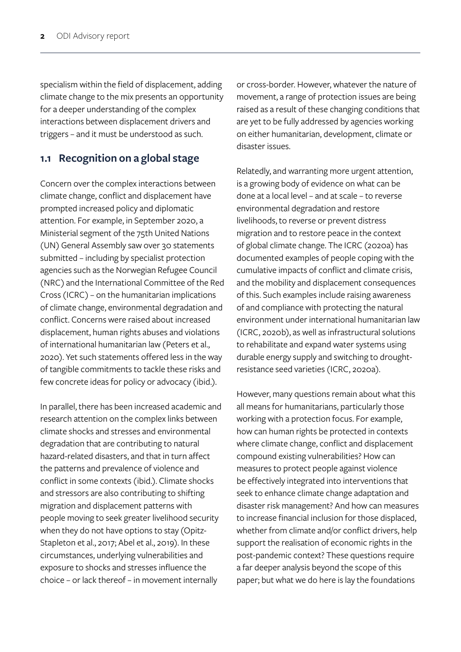specialism within the field of displacement, adding climate change to the mix presents an opportunity for a deeper understanding of the complex interactions between displacement drivers and triggers – and it must be understood as such.

### **1.1 Recognition on a global stage**

Concern over the complex interactions between climate change, conflict and displacement have prompted increased policy and diplomatic attention. For example, in September 2020, a Ministerial segment of the 75th United Nations (UN) General Assembly saw over 30 statements submitted – including by specialist protection agencies such as the Norwegian Refugee Council (NRC) and the International Committee of the Red Cross (ICRC) – on the humanitarian implications of climate change, environmental degradation and conflict. Concerns were raised about increased displacement, human rights abuses and violations of international humanitarian law (Peters et al., 2020). Yet such statements offered less in the way of tangible commitments to tackle these risks and few concrete ideas for policy or advocacy (ibid.).

In parallel, there has been increased academic and research attention on the complex links between climate shocks and stresses and environmental degradation that are contributing to natural hazard-related disasters, and that in turn affect the patterns and prevalence of violence and conflict in some contexts (ibid.). Climate shocks and stressors are also contributing to shifting migration and displacement patterns with people moving to seek greater livelihood security when they do not have options to stay (Opitz-Stapleton et al., 2017; Abel et al., 2019). In these circumstances, underlying vulnerabilities and exposure to shocks and stresses influence the choice – or lack thereof – in movement internally

or cross-border. However, whatever the nature of movement, a range of protection issues are being raised as a result of these changing conditions that are yet to be fully addressed by agencies working on either humanitarian, development, climate or disaster issues.

Relatedly, and warranting more urgent attention, is a growing body of evidence on what can be done at a local level – and at scale – to reverse environmental degradation and restore livelihoods, to reverse or prevent distress migration and to restore peace in the context of global climate change. The ICRC (2020a) has documented examples of people coping with the cumulative impacts of conflict and climate crisis, and the mobility and displacement consequences of this. Such examples include raising awareness of and compliance with protecting the natural environment under international humanitarian law (ICRC, 2020b), as well as infrastructural solutions to rehabilitate and expand water systems using durable energy supply and switching to droughtresistance seed varieties (ICRC, 2020a).

However, many questions remain about what this all means for humanitarians, particularly those working with a protection focus. For example, how can human rights be protected in contexts where climate change, conflict and displacement compound existing vulnerabilities? How can measures to protect people against violence be effectively integrated into interventions that seek to enhance climate change adaptation and disaster risk management? And how can measures to increase financial inclusion for those displaced, whether from climate and/or conflict drivers, help support the realisation of economic rights in the post-pandemic context? These questions require a far deeper analysis beyond the scope of this paper; but what we do here is lay the foundations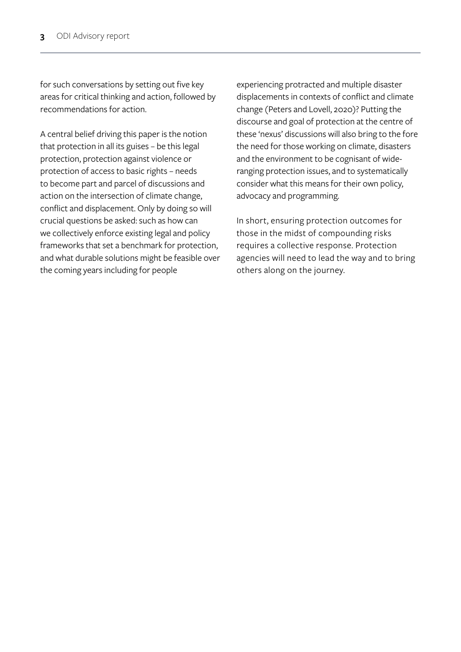for such conversations by setting out five key areas for critical thinking and action, followed by recommendations for action.

A central belief driving this paper is the notion that protection in all its guises – be this legal protection, protection against violence or protection of access to basic rights – needs to become part and parcel of discussions and action on the intersection of climate change, conflict and displacement. Only by doing so will crucial questions be asked: such as how can we collectively enforce existing legal and policy frameworks that set a benchmark for protection, and what durable solutions might be feasible over the coming years including for people

experiencing protracted and multiple disaster displacements in contexts of conflict and climate change (Peters and Lovell, 2020)? Putting the discourse and goal of protection at the centre of these 'nexus' discussions will also bring to the fore the need for those working on climate, disasters and the environment to be cognisant of wideranging protection issues, and to systematically consider what this means for their own policy, advocacy and programming.

In short, ensuring protection outcomes for those in the midst of compounding risks requires a collective response. Protection agencies will need to lead the way and to bring others along on the journey.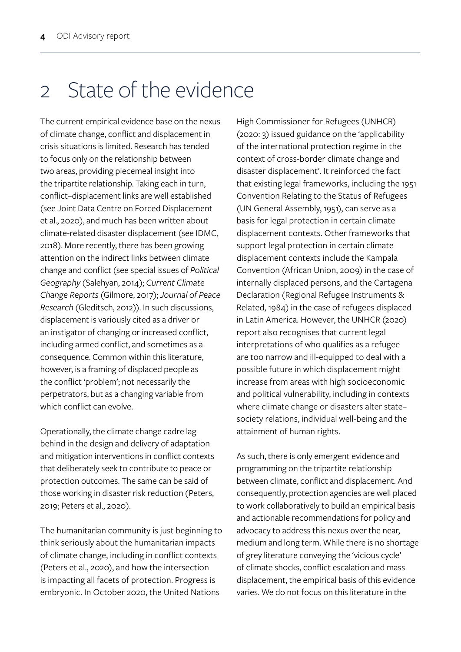# <span id="page-8-0"></span>2 State of the evidence

The current empirical evidence base on the nexus of climate change, conflict and displacement in crisis situations is limited. Research has tended to focus only on the relationship between two areas, providing piecemeal insight into the tripartite relationship. Taking each in turn, conflict–displacement links are well established (see Joint Data Centre on Forced Displacement et al., 2020), and much has been written about climate-related disaster displacement (see IDMC, 2018). More recently, there has been growing attention on the indirect links between climate change and conflict (see special issues of *Political Geography* (Salehyan, 2014); *Current Climate Change Reports* (Gilmore, 2017); *Journal of Peace Research* (Gleditsch, 2012)). In such discussions, displacement is variously cited as a driver or an instigator of changing or increased conflict, including armed conflict, and sometimes as a consequence. Common within this literature, however, is a framing of displaced people as the conflict 'problem'; not necessarily the perpetrators, but as a changing variable from which conflict can evolve.

Operationally, the climate change cadre lag behind in the design and delivery of adaptation and mitigation interventions in conflict contexts that deliberately seek to contribute to peace or protection outcomes. The same can be said of those working in disaster risk reduction (Peters, 2019; Peters et al., 2020).

The humanitarian community is just beginning to think seriously about the humanitarian impacts of climate change, including in conflict contexts (Peters et al., 2020), and how the intersection is impacting all facets of protection. Progress is embryonic. In October 2020, the United Nations

High Commissioner for Refugees (UNHCR) (2020: 3) issued guidance on the 'applicability of the international protection regime in the context of cross-border climate change and disaster displacement'. It reinforced the fact that existing legal frameworks, including the 1951 Convention Relating to the Status of Refugees (UN General Assembly, 1951), can serve as a basis for legal protection in certain climate displacement contexts. Other frameworks that support legal protection in certain climate displacement contexts include the Kampala Convention (African Union, 2009) in the case of internally displaced persons, and the Cartagena Declaration (Regional Refugee Instruments & Related, 1984) in the case of refugees displaced in Latin America. However, the UNHCR (2020) report also recognises that current legal interpretations of who qualifies as a refugee are too narrow and ill-equipped to deal with a possible future in which displacement might increase from areas with high socioeconomic and political vulnerability, including in contexts where climate change or disasters alter state– society relations, individual well-being and the attainment of human rights.

As such, there is only emergent evidence and programming on the tripartite relationship between climate, conflict and displacement. And consequently, protection agencies are well placed to work collaboratively to build an empirical basis and actionable recommendations for policy and advocacy to address this nexus over the near, medium and long term. While there is no shortage of grey literature conveying the 'vicious cycle' of climate shocks, conflict escalation and mass displacement, the empirical basis of this evidence varies. We do not focus on this literature in the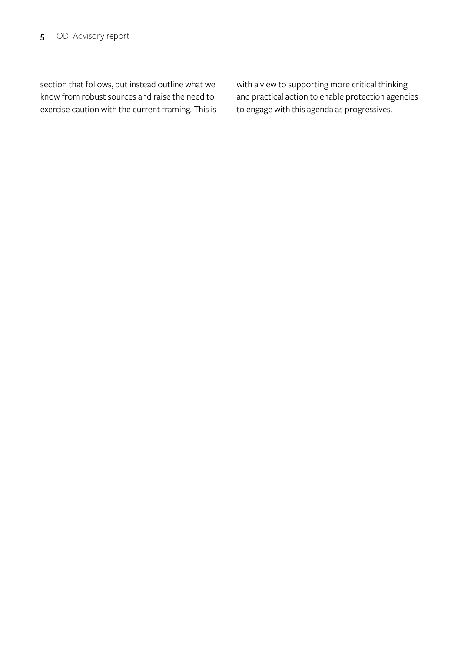section that follows, but instead outline what we know from robust sources and raise the need to exercise caution with the current framing. This is with a view to supporting more critical thinking and practical action to enable protection agencies to engage with this agenda as progressives.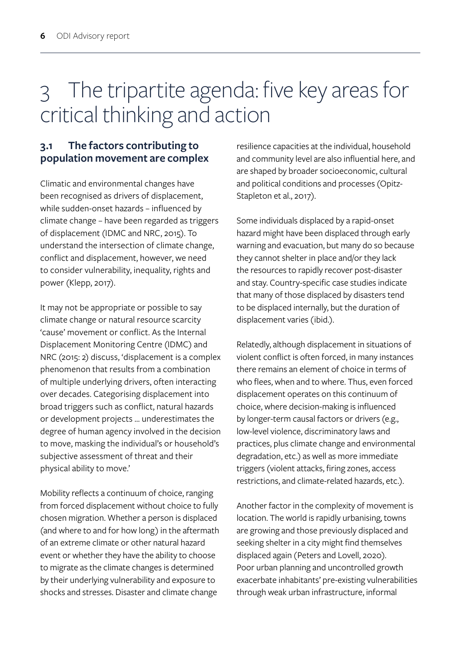# 3 The tripartite agenda: five key areas for critical thinking and action

## **3.1 The factors contributing to population movement are complex**

Climatic and environmental changes have been recognised as drivers of displacement, while sudden-onset hazards – influenced by climate change – have been regarded as triggers of displacement (IDMC and NRC, 2015). To understand the intersection of climate change, conflict and displacement, however, we need to consider vulnerability, inequality, rights and power (Klepp, 2017).

It may not be appropriate or possible to say climate change or natural resource scarcity 'cause' movement or conflict. As the Internal Displacement Monitoring Centre (IDMC) and NRC (2015: 2) discuss, 'displacement is a complex phenomenon that results from a combination of multiple underlying drivers, often interacting over decades. Categorising displacement into broad triggers such as conflict, natural hazards or development projects … underestimates the degree of human agency involved in the decision to move, masking the individual's or household's subjective assessment of threat and their physical ability to move.'

Mobility reflects a continuum of choice, ranging from forced displacement without choice to fully chosen migration. Whether a person is displaced (and where to and for how long) in the aftermath of an extreme climate or other natural hazard event or whether they have the ability to choose to migrate as the climate changes is determined by their underlying vulnerability and exposure to shocks and stresses. Disaster and climate change

resilience capacities at the individual, household and community level are also influential here, and are shaped by broader socioeconomic, cultural and political conditions and processes (Opitz-Stapleton et al., 2017).

Some individuals displaced by a rapid-onset hazard might have been displaced through early warning and evacuation, but many do so because they cannot shelter in place and/or they lack the resources to rapidly recover post-disaster and stay. Country-specific case studies indicate that many of those displaced by disasters tend to be displaced internally, but the duration of displacement varies (ibid.).

Relatedly, although displacement in situations of violent conflict is often forced, in many instances there remains an element of choice in terms of who flees, when and to where. Thus, even forced displacement operates on this continuum of choice, where decision-making is influenced by longer-term causal factors or drivers (e.g., low-level violence, discriminatory laws and practices, plus climate change and environmental degradation, etc.) as well as more immediate triggers (violent attacks, firing zones, access restrictions, and climate-related hazards, etc.).

Another factor in the complexity of movement is location. The world is rapidly urbanising, towns are growing and those previously displaced and seeking shelter in a city might find themselves displaced again (Peters and Lovell, 2020). Poor urban planning and uncontrolled growth exacerbate inhabitants' pre-existing vulnerabilities through weak urban infrastructure, informal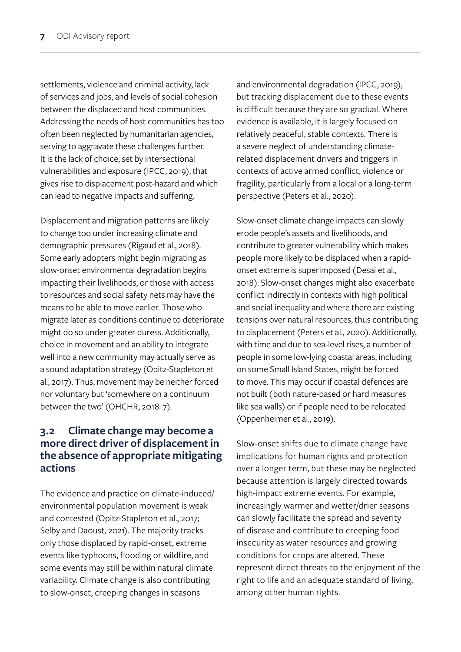settlements, violence and criminal activity, lack of services and jobs, and levels of social cohesion between the displaced and host communities. Addressing the needs of host communities has too often been neglected by humanitarian agencies, serving to aggravate these challenges further. It is the lack of choice, set by intersectional vulnerabilities and exposure (IPCC, 2019), that gives rise to displacement post-hazard and which can lead to negative impacts and suffering.

Displacement and migration patterns are likely to change too under increasing climate and demographic pressures (Rigaud et al., 2018). Some early adopters might begin migrating as slow-onset environmental degradation begins impacting their livelihoods, or those with access to resources and social safety nets may have the means to be able to move earlier. Those who migrate later as conditions continue to deteriorate might do so under greater duress. Additionally, choice in movement and an ability to integrate well into a new community may actually serve as a sound adaptation strategy (Opitz-Stapleton et al., 2017). Thus, movement may be neither forced nor voluntary but 'somewhere on a continuum between the two' (OHCHR, 2018: 7).

### **3.2 Climate change may become a more direct driver of displacement in the absence of appropriate mitigating actions**

The evidence and practice on climate-induced/ environmental population movement is weak and contested (Opitz-Stapleton et al., 2017; Selby and Daoust, 2021). The majority tracks only those displaced by rapid-onset, extreme events like typhoons, flooding or wildfire, and some events may still be within natural climate variability. Climate change is also contributing to slow-onset, creeping changes in seasons

and environmental degradation (IPCC, 2019), but tracking displacement due to these events is difficult because they are so gradual. Where evidence is available, it is largely focused on relatively peaceful, stable contexts. There is a severe neglect of understanding climaterelated displacement drivers and triggers in contexts of active armed conflict, violence or fragility, particularly from a local or a long-term perspective (Peters et al., 2020).

Slow-onset climate change impacts can slowly erode people's assets and livelihoods, and contribute to greater vulnerability which makes people more likely to be displaced when a rapidonset extreme is superimposed (Desai et al., 2018). Slow-onset changes might also exacerbate conflict indirectly in contexts with high political and social inequality and where there are existing tensions over natural resources, thus contributing to displacement (Peters et al., 2020). Additionally, with time and due to sea-level rises, a number of people in some low-lying coastal areas, including on some Small Island States, might be forced to move. This may occur if coastal defences are not built (both nature-based or hard measures like sea walls) or if people need to be relocated (Oppenheimer et al., 2019).

Slow-onset shifts due to climate change have implications for human rights and protection over a longer term, but these may be neglected because attention is largely directed towards high-impact extreme events. For example, increasingly warmer and wetter/drier seasons can slowly facilitate the spread and severity of disease and contribute to creeping food insecurity as water resources and growing conditions for crops are altered. These represent direct threats to the enjoyment of the right to life and an adequate standard of living, among other human rights.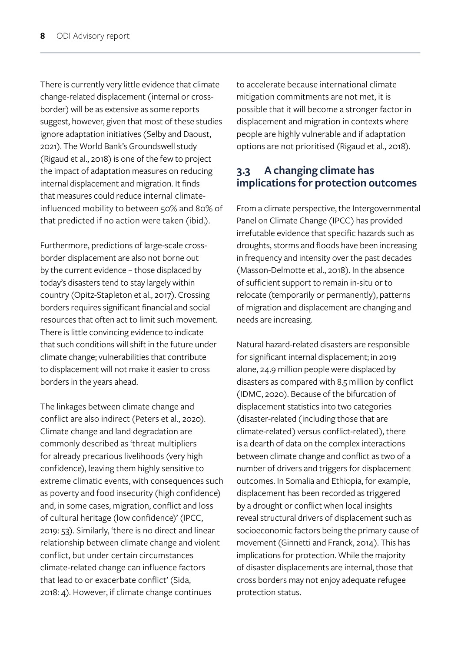There is currently very little evidence that climate change-related displacement (internal or crossborder) will be as extensive as some reports suggest, however, given that most of these studies ignore adaptation initiatives (Selby and Daoust, 2021). The World Bank's Groundswell study (Rigaud et al., 2018) is one of the few to project the impact of adaptation measures on reducing internal displacement and migration. It finds that measures could reduce internal climateinfluenced mobility to between 50% and 80% of that predicted if no action were taken (ibid.).

Furthermore, predictions of large-scale crossborder displacement are also not borne out by the current evidence – those displaced by today's disasters tend to stay largely within country (Opitz-Stapleton et al., 2017). Crossing borders requires significant financial and social resources that often act to limit such movement. There is little convincing evidence to indicate that such conditions will shift in the future under climate change; vulnerabilities that contribute to displacement will not make it easier to cross borders in the years ahead.

The linkages between climate change and conflict are also indirect (Peters et al., 2020). Climate change and land degradation are commonly described as 'threat multipliers for already precarious livelihoods (very high confidence), leaving them highly sensitive to extreme climatic events, with consequences such as poverty and food insecurity (high confidence) and, in some cases, migration, conflict and loss of cultural heritage (low confidence)' (IPCC, 2019: 53). Similarly, 'there is no direct and linear relationship between climate change and violent conflict, but under certain circumstances climate-related change can influence factors that lead to or exacerbate conflict' (Sida, 2018: 4). However, if climate change continues

to accelerate because international climate mitigation commitments are not met, it is possible that it will become a stronger factor in displacement and migration in contexts where people are highly vulnerable and if adaptation options are not prioritised (Rigaud et al., 2018).

### **3.3 A changing climate has implications for protection outcomes**

From a climate perspective, the Intergovernmental Panel on Climate Change (IPCC) has provided irrefutable evidence that specific hazards such as droughts, storms and floods have been increasing in frequency and intensity over the past decades (Masson-Delmotte et al., 2018). In the absence of sufficient support to remain in-situ or to relocate (temporarily or permanently), patterns of migration and displacement are changing and needs are increasing.

Natural hazard-related disasters are responsible for significant internal displacement; in 2019 alone, 24.9 million people were displaced by disasters as compared with 8.5 million by conflict (IDMC, 2020). Because of the bifurcation of displacement statistics into two categories (disaster-related (including those that are climate-related) versus conflict-related), there is a dearth of data on the complex interactions between climate change and conflict as two of a number of drivers and triggers for displacement outcomes. In Somalia and Ethiopia, for example, displacement has been recorded as triggered by a drought or conflict when local insights reveal structural drivers of displacement such as socioeconomic factors being the primary cause of movement (Ginnetti and Franck, 2014). This has implications for protection. While the majority of disaster displacements are internal, those that cross borders may not enjoy adequate refugee protection status.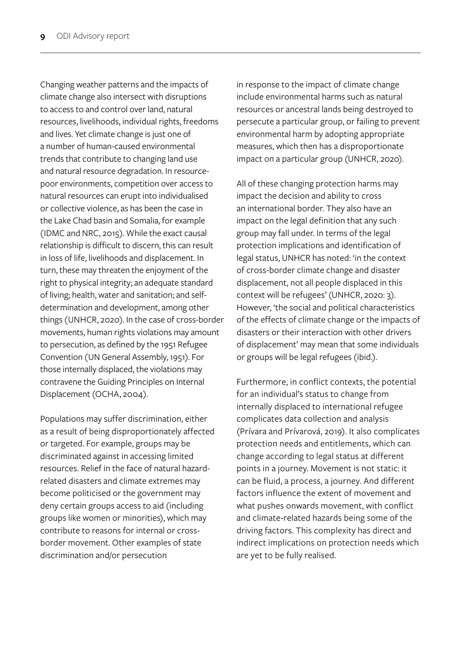Changing weather patterns and the impacts of climate change also intersect with disruptions to access to and control over land, natural resources, livelihoods, individual rights, freedoms and lives. Yet climate change is just one of a number of human-caused environmental trends that contribute to changing land use and natural resource degradation. In resourcepoor environments, competition over access to natural resources can erupt into individualised or collective violence, as has been the case in the Lake Chad basin and Somalia, for example (IDMC and NRC, 2015). While the exact causal relationship is difficult to discern, this can result in loss of life, livelihoods and displacement. In turn, these may threaten the enjoyment of the right to physical integrity; an adequate standard of living; health, water and sanitation; and selfdetermination and development, among other things (UNHCR, 2020). In the case of cross-border movements, human rights violations may amount to persecution, as defined by the 1951 Refugee Convention (UN General Assembly, 1951). For those internally displaced, the violations may contravene the Guiding Principles on Internal Displacement (OCHA, 2004).

Populations may suffer discrimination, either as a result of being disproportionately affected or targeted. For example, groups may be discriminated against in accessing limited resources. Relief in the face of natural hazardrelated disasters and climate extremes may become politicised or the government may deny certain groups access to aid (including groups like women or minorities), which may contribute to reasons for internal or crossborder movement. Other examples of state discrimination and/or persecution

in response to the impact of climate change include environmental harms such as natural resources or ancestral lands being destroyed to persecute a particular group, or failing to prevent environmental harm by adopting appropriate measures, which then has a disproportionate impact on a particular group (UNHCR, 2020).

All of these changing protection harms may impact the decision and ability to cross an international border. They also have an impact on the legal definition that any such group may fall under. In terms of the legal protection implications and identification of legal status, UNHCR has noted: 'in the context of cross-border climate change and disaster displacement, not all people displaced in this context will be refugees' (UNHCR, 2020: 3). However, 'the social and political characteristics of the effects of climate change or the impacts of disasters or their interaction with other drivers of displacement' may mean that some individuals or groups will be legal refugees (ibid.).

Furthermore, in conflict contexts, the potential for an individual's status to change from internally displaced to international refugee complicates data collection and analysis (Prívara and Prívarová, 2019). It also complicates protection needs and entitlements, which can change according to legal status at different points in a journey. Movement is not static: it can be fluid, a process, a journey. And different factors influence the extent of movement and what pushes onwards movement, with conflict and climate-related hazards being some of the driving factors. This complexity has direct and indirect implications on protection needs which are yet to be fully realised.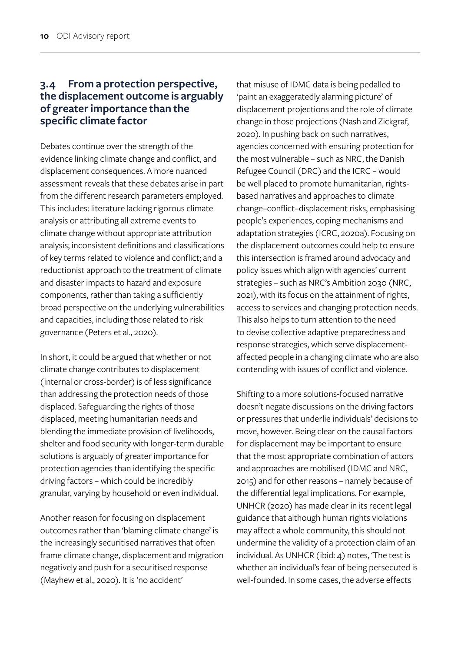### **3.4 From a protection perspective, the displacement outcome is arguably of greater importance than the specific climate factor**

Debates continue over the strength of the evidence linking climate change and conflict, and displacement consequences. A more nuanced assessment reveals that these debates arise in part from the different research parameters employed. This includes: literature lacking rigorous climate analysis or attributing all extreme events to climate change without appropriate attribution analysis; inconsistent definitions and classifications of key terms related to violence and conflict; and a reductionist approach to the treatment of climate and disaster impacts to hazard and exposure components, rather than taking a sufficiently broad perspective on the underlying vulnerabilities and capacities, including those related to risk governance (Peters et al., 2020).

In short, it could be argued that whether or not climate change contributes to displacement (internal or cross-border) is of less significance than addressing the protection needs of those displaced. Safeguarding the rights of those displaced, meeting humanitarian needs and blending the immediate provision of livelihoods, shelter and food security with longer-term durable solutions is arguably of greater importance for protection agencies than identifying the specific driving factors – which could be incredibly granular, varying by household or even individual.

Another reason for focusing on displacement outcomes rather than 'blaming climate change' is the increasingly securitised narratives that often frame climate change, displacement and migration negatively and push for a securitised response (Mayhew et al., 2020). It is 'no accident'

that misuse of IDMC data is being pedalled to 'paint an exaggeratedly alarming picture' of displacement projections and the role of climate change in those projections (Nash and Zickgraf, 2020). In pushing back on such narratives, agencies concerned with ensuring protection for the most vulnerable – such as NRC, the Danish Refugee Council (DRC) and the ICRC – would be well placed to promote humanitarian, rightsbased narratives and approaches to climate change–conflict–displacement risks, emphasising people's experiences, coping mechanisms and adaptation strategies (ICRC, 2020a). Focusing on the displacement outcomes could help to ensure this intersection is framed around advocacy and policy issues which align with agencies' current strategies – such as NRC's Ambition 2030 (NRC, 2021), with its focus on the attainment of rights, access to services and changing protection needs. This also helps to turn attention to the need to devise collective adaptive preparedness and response strategies, which serve displacementaffected people in a changing climate who are also contending with issues of conflict and violence.

Shifting to a more solutions-focused narrative doesn't negate discussions on the driving factors or pressures that underlie individuals' decisions to move, however. Being clear on the causal factors for displacement may be important to ensure that the most appropriate combination of actors and approaches are mobilised (IDMC and NRC, 2015) and for other reasons – namely because of the differential legal implications. For example, UNHCR (2020) has made clear in its recent legal guidance that although human rights violations may affect a whole community, this should not undermine the validity of a protection claim of an individual. As UNHCR (ibid: 4) notes, 'The test is whether an individual's fear of being persecuted is well-founded. In some cases, the adverse effects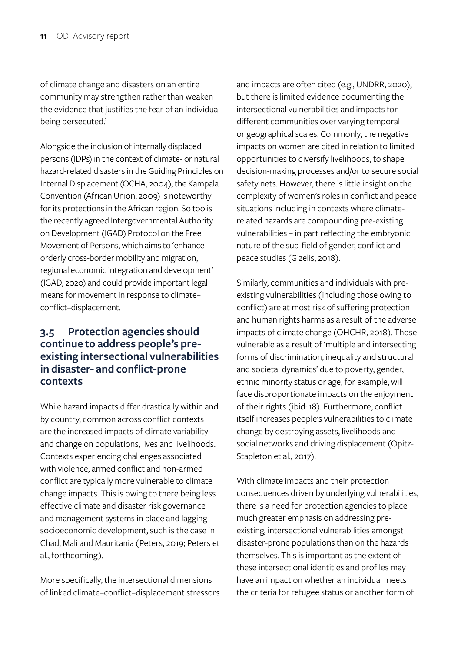of climate change and disasters on an entire community may strengthen rather than weaken the evidence that justifies the fear of an individual being persecuted.'

Alongside the inclusion of internally displaced persons (IDPs) in the context of climate- or natural hazard-related disasters in the Guiding Principles on Internal Displacement (OCHA, 2004), the Kampala Convention (African Union, 2009) is noteworthy for its protections in the African region. So too is the recently agreed Intergovernmental Authority on Development (IGAD) Protocol on the Free Movement of Persons, which aims to 'enhance orderly cross-border mobility and migration, regional economic integration and development' (IGAD, 2020) and could provide important legal means for movement in response to climate– conflict–displacement.

### **3.5 Protection agencies should continue to address people's preexisting intersectional vulnerabilities in disaster- and conflict-prone contexts**

While hazard impacts differ drastically within and by country, common across conflict contexts are the increased impacts of climate variability and change on populations, lives and livelihoods. Contexts experiencing challenges associated with violence, armed conflict and non-armed conflict are typically more vulnerable to climate change impacts. This is owing to there being less effective climate and disaster risk governance and management systems in place and lagging socioeconomic development, such is the case in Chad, Mali and Mauritania (Peters, 2019; Peters et al., forthcoming).

More specifically, the intersectional dimensions of linked climate–conflict–displacement stressors and impacts are often cited (e.g., UNDRR, 2020), but there is limited evidence documenting the intersectional vulnerabilities and impacts for different communities over varying temporal or geographical scales. Commonly, the negative impacts on women are cited in relation to limited opportunities to diversify livelihoods, to shape decision-making processes and/or to secure social safety nets. However, there is little insight on the complexity of women's roles in conflict and peace situations including in contexts where climaterelated hazards are compounding pre-existing vulnerabilities – in part reflecting the embryonic nature of the sub-field of gender, conflict and peace studies (Gizelis, 2018).

Similarly, communities and individuals with preexisting vulnerabilities (including those owing to conflict) are at most risk of suffering protection and human rights harms as a result of the adverse impacts of climate change (OHCHR, 2018). Those vulnerable as a result of 'multiple and intersecting forms of discrimination, inequality and structural and societal dynamics' due to poverty, gender, ethnic minority status or age, for example, will face disproportionate impacts on the enjoyment of their rights (ibid: 18). Furthermore, conflict itself increases people's vulnerabilities to climate change by destroying assets, livelihoods and social networks and driving displacement (Opitz-Stapleton et al., 2017).

With climate impacts and their protection consequences driven by underlying vulnerabilities, there is a need for protection agencies to place much greater emphasis on addressing preexisting, intersectional vulnerabilities amongst disaster-prone populations than on the hazards themselves. This is important as the extent of these intersectional identities and profiles may have an impact on whether an individual meets the criteria for refugee status or another form of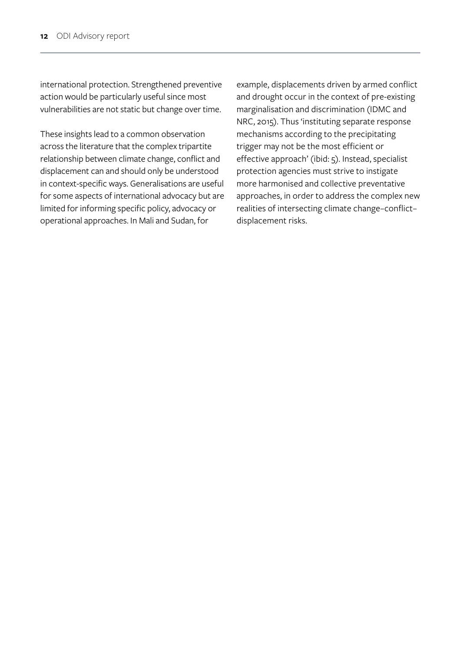international protection. Strengthened preventive action would be particularly useful since most vulnerabilities are not static but change over time.

These insights lead to a common observation across the literature that the complex tripartite relationship between climate change, conflict and displacement can and should only be understood in context-specific ways. Generalisations are useful for some aspects of international advocacy but are limited for informing specific policy, advocacy or operational approaches. In Mali and Sudan, for

example, displacements driven by armed conflict and drought occur in the context of pre-existing marginalisation and discrimination (IDMC and NRC, 2015). Thus 'instituting separate response mechanisms according to the precipitating trigger may not be the most efficient or effective approach' (ibid: 5). Instead, specialist protection agencies must strive to instigate more harmonised and collective preventative approaches, in order to address the complex new realities of intersecting climate change–conflict– displacement risks.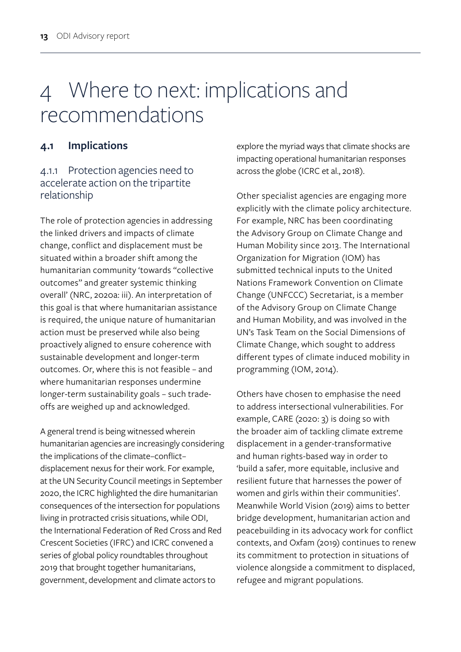# 4 Where to next: implications and recommendations

### **4.1 Implications**

### 4.1.1 Protection agencies need to accelerate action on the tripartite relationship

The role of protection agencies in addressing the linked drivers and impacts of climate change, conflict and displacement must be situated within a broader shift among the humanitarian community 'towards "collective outcomes" and greater systemic thinking overall' (NRC, 2020a: iii). An interpretation of this goal is that where humanitarian assistance is required, the unique nature of humanitarian action must be preserved while also being proactively aligned to ensure coherence with sustainable development and longer-term outcomes. Or, where this is not feasible – and where humanitarian responses undermine longer-term sustainability goals – such tradeoffs are weighed up and acknowledged.

A general trend is being witnessed wherein humanitarian agencies are increasingly considering the implications of the climate–conflict– displacement nexus for their work. For example, at the UN Security Council meetings in September 2020, the ICRC highlighted the dire humanitarian consequences of the intersection for populations living in protracted crisis situations, while ODI, the International Federation of Red Cross and Red Crescent Societies (IFRC) and ICRC convened a series of global policy roundtables throughout 2019 that brought together humanitarians, government, development and climate actors to

explore the myriad ways that climate shocks are impacting operational humanitarian responses across the globe (ICRC et al., 2018).

Other specialist agencies are engaging more explicitly with the climate policy architecture. For example, NRC has been coordinating the Advisory Group on Climate Change and Human Mobility since 2013. The International Organization for Migration (IOM) has submitted technical inputs to the United Nations Framework Convention on Climate Change (UNFCCC) Secretariat, is a member of the Advisory Group on Climate Change and Human Mobility, and was involved in the UN's Task Team on the Social Dimensions of Climate Change, which sought to address different types of climate induced mobility in programming (IOM, 2014).

Others have chosen to emphasise the need to address intersectional vulnerabilities. For example, CARE (2020: 3) is doing so with the broader aim of tackling climate extreme displacement in a gender-transformative and human rights-based way in order to 'build a safer, more equitable, inclusive and resilient future that harnesses the power of women and girls within their communities'. Meanwhile World Vision (2019) aims to better bridge development, humanitarian action and peacebuilding in its advocacy work for conflict contexts, and Oxfam (2019) continues to renew its commitment to protection in situations of violence alongside a commitment to displaced, refugee and migrant populations.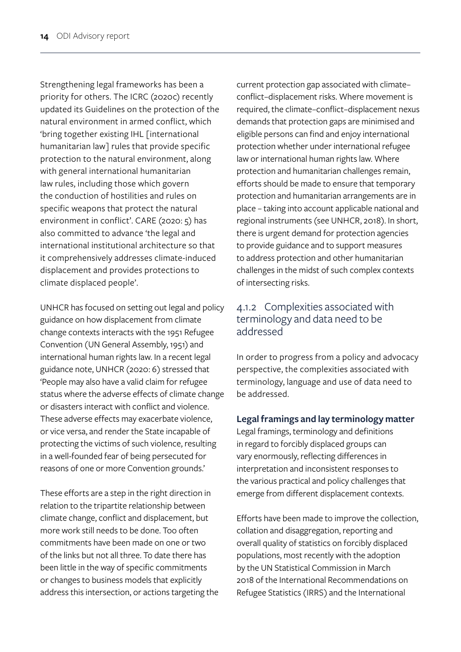Strengthening legal frameworks has been a priority for others. The ICRC (2020c) recently updated its Guidelines on the protection of the natural environment in armed conflict, which 'bring together existing IHL [international humanitarian law] rules that provide specific protection to the natural environment, along with general international humanitarian law rules, including those which govern the conduction of hostilities and rules on specific weapons that protect the natural environment in conflict'. CARE (2020: 5) has also committed to advance 'the legal and international institutional architecture so that it comprehensively addresses climate-induced displacement and provides protections to climate displaced people'.

UNHCR has focused on setting out legal and policy guidance on how displacement from climate change contexts interacts with the 1951 Refugee Convention (UN General Assembly, 1951) and international human rights law. In a recent legal guidance note, UNHCR (2020: 6) stressed that 'People may also have a valid claim for refugee status where the adverse effects of climate change or disasters interact with conflict and violence. These adverse effects may exacerbate violence, or vice versa, and render the State incapable of protecting the victims of such violence, resulting in a well-founded fear of being persecuted for reasons of one or more Convention grounds.'

These efforts are a step in the right direction in relation to the tripartite relationship between climate change, conflict and displacement, but more work still needs to be done. Too often commitments have been made on one or two of the links but not all three. To date there has been little in the way of specific commitments or changes to business models that explicitly address this intersection, or actions targeting the current protection gap associated with climate– conflict–displacement risks. Where movement is required, the climate–conflict–displacement nexus demands that protection gaps are minimised and eligible persons can find and enjoy international protection whether under international refugee law or international human rights law. Where protection and humanitarian challenges remain, efforts should be made to ensure that temporary protection and humanitarian arrangements are in place – taking into account applicable national and regional instruments (see UNHCR, 2018). In short, there is urgent demand for protection agencies to provide guidance and to support measures to address protection and other humanitarian challenges in the midst of such complex contexts of intersecting risks.

#### 4.1.2 Complexities associated with terminology and data need to be addressed

In order to progress from a policy and advocacy perspective, the complexities associated with terminology, language and use of data need to be addressed.

#### **Legal framings and lay terminology matter**

Legal framings, terminology and definitions in regard to forcibly displaced groups can vary enormously, reflecting differences in interpretation and inconsistent responses to the various practical and policy challenges that emerge from different displacement contexts.

Efforts have been made to improve the collection, collation and disaggregation, reporting and overall quality of statistics on forcibly displaced populations, most recently with the adoption by the UN Statistical Commission in March 2018 of the International Recommendations on Refugee Statistics (IRRS) and the International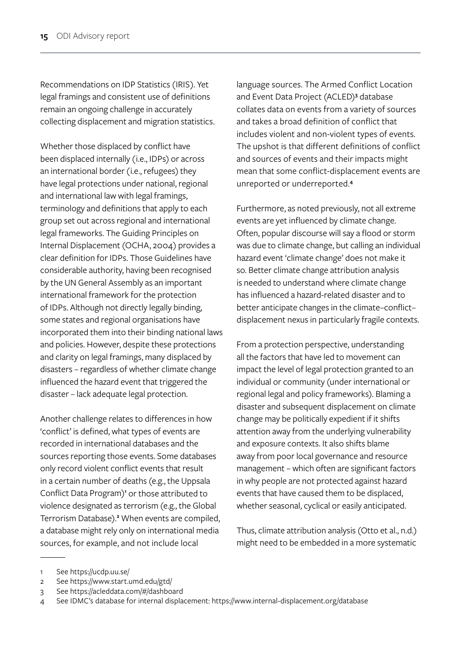Recommendations on IDP Statistics (IRIS). Yet legal framings and consistent use of definitions remain an ongoing challenge in accurately collecting displacement and migration statistics.

Whether those displaced by conflict have been displaced internally (i.e., IDPs) or across an international border (i.e., refugees) they have legal protections under national, regional and international law with legal framings, terminology and definitions that apply to each group set out across regional and international legal frameworks. The Guiding Principles on Internal Displacement (OCHA, 2004) provides a clear definition for IDPs. Those Guidelines have considerable authority, having been recognised by the UN General Assembly as an important international framework for the protection of IDPs. Although not directly legally binding, some states and regional organisations have incorporated them into their binding national laws and policies. However, despite these protections and clarity on legal framings, many displaced by disasters – regardless of whether climate change influenced the hazard event that triggered the disaster – lack adequate legal protection.

Another challenge relates to differences in how 'conflict' is defined, what types of events are recorded in international databases and the sources reporting those events. Some databases only record violent conflict events that result in a certain number of deaths (e.g., the Uppsala Conflict Data Program)<sup>1</sup> or those attributed to violence designated as terrorism (e.g., the Global Terrorism Database).**<sup>2</sup>** When events are compiled, a database might rely only on international media sources, for example, and not include local

language sources. The Armed Conflict Location and Event Data Project (ACLED)**<sup>3</sup>** database collates data on events from a variety of sources and takes a broad definition of conflict that includes violent and non-violent types of events. The upshot is that different definitions of conflict and sources of events and their impacts might mean that some conflict-displacement events are unreported or underreported.**<sup>4</sup>**

Furthermore, as noted previously, not all extreme events are yet influenced by climate change. Often, popular discourse will say a flood or storm was due to climate change, but calling an individual hazard event 'climate change' does not make it so. Better climate change attribution analysis is needed to understand where climate change has influenced a hazard-related disaster and to better anticipate changes in the climate–conflict– displacement nexus in particularly fragile contexts.

From a protection perspective, understanding all the factors that have led to movement can impact the level of legal protection granted to an individual or community (under international or regional legal and policy frameworks). Blaming a disaster and subsequent displacement on climate change may be politically expedient if it shifts attention away from the underlying vulnerability and exposure contexts. It also shifts blame away from poor local governance and resource management – which often are significant factors in why people are not protected against hazard events that have caused them to be displaced, whether seasonal, cyclical or easily anticipated.

Thus, climate attribution analysis (Otto et al., n.d.) might need to be embedded in a more systematic

<sup>1</sup> See https://ucdp.uu.se/

<sup>2</sup> See https://www.start.umd.edu/gtd/

<sup>3</sup> See https://acleddata.com/#/dashboard

<sup>4</sup> See IDMC's database for internal displacement: https://www.internal-displacement.org/database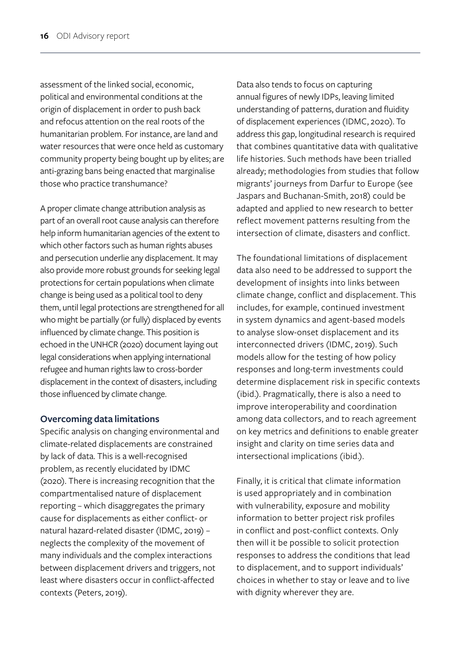assessment of the linked social, economic, political and environmental conditions at the origin of displacement in order to push back and refocus attention on the real roots of the humanitarian problem. For instance, are land and water resources that were once held as customary community property being bought up by elites; are anti-grazing bans being enacted that marginalise those who practice transhumance?

A proper climate change attribution analysis as part of an overall root cause analysis can therefore help inform humanitarian agencies of the extent to which other factors such as human rights abuses and persecution underlie any displacement. It may also provide more robust grounds for seeking legal protections for certain populations when climate change is being used as a political tool to deny them, until legal protections are strengthened for all who might be partially (or fully) displaced by events influenced by climate change. This position is echoed in the UNHCR (2020) document laying out legal considerations when applying international refugee and human rights law to cross-border displacement in the context of disasters, including those influenced by climate change.

#### **Overcoming data limitations**

Specific analysis on changing environmental and climate-related displacements are constrained by lack of data. This is a well-recognised problem, as recently elucidated by IDMC (2020). There is increasing recognition that the compartmentalised nature of displacement reporting – which disaggregates the primary cause for displacements as either conflict- or natural hazard-related disaster (IDMC, 2019) – neglects the complexity of the movement of many individuals and the complex interactions between displacement drivers and triggers, not least where disasters occur in conflict-affected contexts (Peters, 2019).

Data also tends to focus on capturing annual figures of newly IDPs, leaving limited understanding of patterns, duration and fluidity of displacement experiences (IDMC, 2020). To address this gap, longitudinal research is required that combines quantitative data with qualitative life histories. Such methods have been trialled already; methodologies from studies that follow migrants' journeys from Darfur to Europe (see Jaspars and Buchanan-Smith, 2018) could be adapted and applied to new research to better reflect movement patterns resulting from the intersection of climate, disasters and conflict.

The foundational limitations of displacement data also need to be addressed to support the development of insights into links between climate change, conflict and displacement. This includes, for example, continued investment in system dynamics and agent-based models to analyse slow-onset displacement and its interconnected drivers (IDMC, 2019). Such models allow for the testing of how policy responses and long-term investments could determine displacement risk in specific contexts (ibid.). Pragmatically, there is also a need to improve interoperability and coordination among data collectors, and to reach agreement on key metrics and definitions to enable greater insight and clarity on time series data and intersectional implications (ibid.).

Finally, it is critical that climate information is used appropriately and in combination with vulnerability, exposure and mobility information to better project risk profiles in conflict and post-conflict contexts. Only then will it be possible to solicit protection responses to address the conditions that lead to displacement, and to support individuals' choices in whether to stay or leave and to live with dignity wherever they are.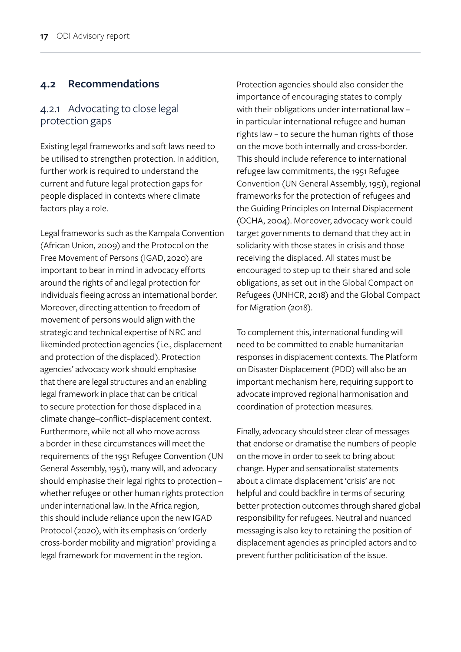#### **4.2 Recommendations**

#### 4.2.1 Advocating to close legal protection gaps

Existing legal frameworks and soft laws need to be utilised to strengthen protection. In addition, further work is required to understand the current and future legal protection gaps for people displaced in contexts where climate factors play a role.

Legal frameworks such as the Kampala Convention (African Union, 2009) and the Protocol on the Free Movement of Persons (IGAD, 2020) are important to bear in mind in advocacy efforts around the rights of and legal protection for individuals fleeing across an international border. Moreover, directing attention to freedom of movement of persons would align with the strategic and technical expertise of NRC and likeminded protection agencies (i.e., displacement and protection of the displaced). Protection agencies' advocacy work should emphasise that there are legal structures and an enabling legal framework in place that can be critical to secure protection for those displaced in a climate change–conflict–displacement context. Furthermore, while not all who move across a border in these circumstances will meet the requirements of the 1951 Refugee Convention (UN General Assembly, 1951), many will, and advocacy should emphasise their legal rights to protection – whether refugee or other human rights protection under international law. In the Africa region, this should include reliance upon the new IGAD Protocol (2020), with its emphasis on 'orderly cross-border mobility and migration' providing a legal framework for movement in the region.

Protection agencies should also consider the importance of encouraging states to comply with their obligations under international law – in particular international refugee and human rights law – to secure the human rights of those on the move both internally and cross-border. This should include reference to international refugee law commitments, the 1951 Refugee Convention (UN General Assembly, 1951), regional frameworks for the protection of refugees and the Guiding Principles on Internal Displacement (OCHA, 2004). Moreover, advocacy work could target governments to demand that they act in solidarity with those states in crisis and those receiving the displaced. All states must be encouraged to step up to their shared and sole obligations, as set out in the Global Compact on Refugees (UNHCR, 2018) and the Global Compact for Migration (2018).

To complement this, international funding will need to be committed to enable humanitarian responses in displacement contexts. The Platform on Disaster Displacement (PDD) will also be an important mechanism here, requiring support to advocate improved regional harmonisation and coordination of protection measures.

Finally, advocacy should steer clear of messages that endorse or dramatise the numbers of people on the move in order to seek to bring about change. Hyper and sensationalist statements about a climate displacement 'crisis' are not helpful and could backfire in terms of securing better protection outcomes through shared global responsibility for refugees. Neutral and nuanced messaging is also key to retaining the position of displacement agencies as principled actors and to prevent further politicisation of the issue.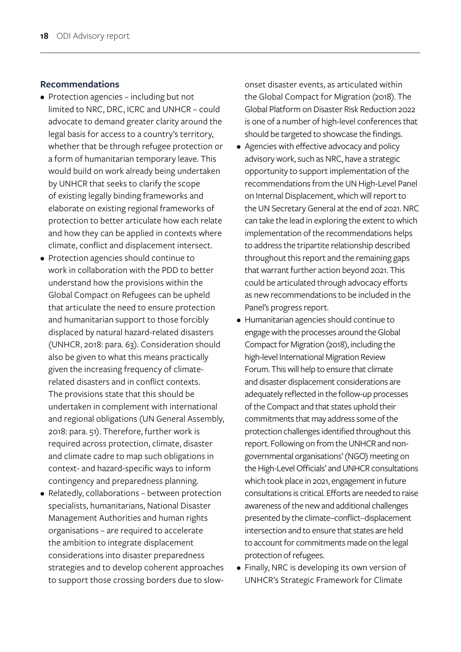#### **Recommendations**

- Protection agencies including but not limited to NRC, DRC, ICRC and UNHCR – could advocate to demand greater clarity around the legal basis for access to a country's territory, whether that be through refugee protection or a form of humanitarian temporary leave. This would build on work already being undertaken by UNHCR that seeks to clarify the scope of existing legally binding frameworks and elaborate on existing regional frameworks of protection to better articulate how each relate and how they can be applied in contexts where climate, conflict and displacement intersect.
- Protection agencies should continue to work in collaboration with the PDD to better understand how the provisions within the Global Compact on Refugees can be upheld that articulate the need to ensure protection and humanitarian support to those forcibly displaced by natural hazard-related disasters (UNHCR, 2018: para. 63). Consideration should also be given to what this means practically given the increasing frequency of climaterelated disasters and in conflict contexts. The provisions state that this should be undertaken in complement with international and regional obligations (UN General Assembly, 2018: para. 51). Therefore, further work is required across protection, climate, disaster and climate cadre to map such obligations in context- and hazard-specific ways to inform contingency and preparedness planning.
- Relatedly, collaborations between protection specialists, humanitarians, National Disaster Management Authorities and human rights organisations – are required to accelerate the ambition to integrate displacement considerations into disaster preparedness strategies and to develop coherent approaches to support those crossing borders due to slow-

onset disaster events, as articulated within the Global Compact for Migration (2018). The Global Platform on Disaster Risk Reduction 2022 is one of a number of high-level conferences that should be targeted to showcase the findings.

- Agencies with effective advocacy and policy advisory work, such as NRC, have a strategic opportunity to support implementation of the recommendations from the UN High-Level Panel on Internal Displacement, which will report to the UN Secretary General at the end of 2021. NRC can take the lead in exploring the extent to which implementation of the recommendations helps to address the tripartite relationship described throughout this report and the remaining gaps that warrant further action beyond 2021. This could be articulated through advocacy efforts as new recommendations to be included in the Panel's progress report.
- Humanitarian agencies should continue to engage with the processes around the Global Compact for Migration (2018), including the high-level International Migration Review Forum. This will help to ensure that climate and disaster displacement considerations are adequately reflected in the follow-up processes of the Compact and that states uphold their commitments that may address some of the protection challenges identified throughout this report. Following on from the UNHCR and nongovernmental organisations' (NGO) meeting on the High-Level Officials' and UNHCR consultations which took place in 2021, engagement in future consultations is critical. Efforts are needed to raise awareness of the new and additional challenges presented by the climate–conflict–displacement intersection and to ensure that states are held to account for commitments made on the legal protection of refugees.
- Finally, NRC is developing its own version of UNHCR's Strategic Framework for Climate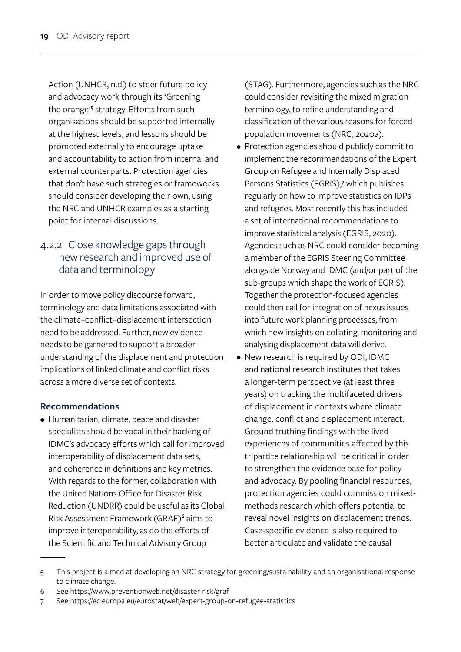Action (UNHCR, n.d.) to steer future policy and advocacy work through its 'Greening the orange<sup>'s</sup> strategy. Efforts from such organisations should be supported internally at the highest levels, and lessons should be promoted externally to encourage uptake and accountability to action from internal and external counterparts. Protection agencies that don't have such strategies or frameworks should consider developing their own, using the NRC and UNHCR examples as a starting point for internal discussions.

### 4.2.2 Close knowledge gaps through new research and improved use of data and terminology

In order to move policy discourse forward, terminology and data limitations associated with the climate–conflict–displacement intersection need to be addressed. Further, new evidence needs to be garnered to support a broader understanding of the displacement and protection implications of linked climate and conflict risks across a more diverse set of contexts.

#### **Recommendations**

• Humanitarian, climate, peace and disaster specialists should be vocal in their backing of IDMC's advocacy efforts which call for improved interoperability of displacement data sets, and coherence in definitions and key metrics. With regards to the former, collaboration with the United Nations Office for Disaster Risk Reduction (UNDRR) could be useful as its Global Risk Assessment Framework (GRAF)**<sup>6</sup>** aims to improve interoperability, as do the efforts of the Scientific and Technical Advisory Group

(STAG). Furthermore, agencies such as the NRC could consider revisiting the mixed migration terminology, to refine understanding and classification of the various reasons for forced population movements (NRC, 2020a).

- Protection agencies should publicly commit to implement the recommendations of the Expert Group on Refugee and Internally Displaced Persons Statistics (EGRIS),**<sup>7</sup>** which publishes regularly on how to improve statistics on IDPs and refugees. Most recently this has included a set of international recommendations to improve statistical analysis (EGRIS, 2020). Agencies such as NRC could consider becoming a member of the EGRIS Steering Committee alongside Norway and IDMC (and/or part of the sub-groups which shape the work of EGRIS). Together the protection-focused agencies could then call for integration of nexus issues into future work planning processes, from which new insights on collating, monitoring and analysing displacement data will derive.
- New research is required by ODI, IDMC and national research institutes that takes a longer-term perspective (at least three years) on tracking the multifaceted drivers of displacement in contexts where climate change, conflict and displacement interact. Ground truthing findings with the lived experiences of communities affected by this tripartite relationship will be critical in order to strengthen the evidence base for policy and advocacy. By pooling financial resources, protection agencies could commission mixedmethods research which offers potential to reveal novel insights on displacement trends. Case-specific evidence is also required to better articulate and validate the causal

6 See https://www.preventionweb.net/disaster-risk/graf

<sup>5</sup> This project is aimed at developing an NRC strategy for greening/sustainability and an organisational response to climate change.

<sup>7</sup> See https://ec.europa.eu/eurostat/web/expert-group-on-refugee-statistics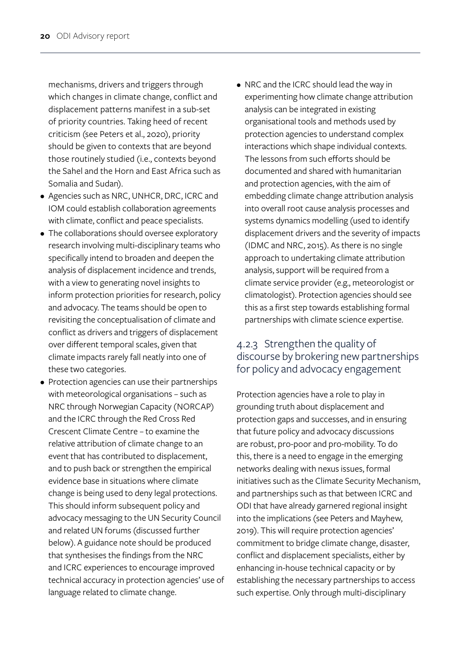mechanisms, drivers and triggers through which changes in climate change, conflict and displacement patterns manifest in a sub-set of priority countries. Taking heed of recent criticism (see Peters et al., 2020), priority should be given to contexts that are beyond those routinely studied (i.e., contexts beyond the Sahel and the Horn and East Africa such as Somalia and Sudan).

- Agencies such as NRC, UNHCR, DRC, ICRC and IOM could establish collaboration agreements with climate, conflict and peace specialists.
- The collaborations should oversee exploratory research involving multi-disciplinary teams who specifically intend to broaden and deepen the analysis of displacement incidence and trends, with a view to generating novel insights to inform protection priorities for research, policy and advocacy. The teams should be open to revisiting the conceptualisation of climate and conflict as drivers and triggers of displacement over different temporal scales, given that climate impacts rarely fall neatly into one of these two categories.
- Protection agencies can use their partnerships with meteorological organisations – such as NRC through Norwegian Capacity (NORCAP) and the ICRC through the Red Cross Red Crescent Climate Centre – to examine the relative attribution of climate change to an event that has contributed to displacement, and to push back or strengthen the empirical evidence base in situations where climate change is being used to deny legal protections. This should inform subsequent policy and advocacy messaging to the UN Security Council and related UN forums (discussed further below). A guidance note should be produced that synthesises the findings from the NRC and ICRC experiences to encourage improved technical accuracy in protection agencies' use of language related to climate change.
- NRC and the ICRC should lead the way in experimenting how climate change attribution analysis can be integrated in existing organisational tools and methods used by protection agencies to understand complex interactions which shape individual contexts. The lessons from such efforts should be documented and shared with humanitarian and protection agencies, with the aim of embedding climate change attribution analysis into overall root cause analysis processes and systems dynamics modelling (used to identify displacement drivers and the severity of impacts (IDMC and NRC, 2015). As there is no single approach to undertaking climate attribution analysis, support will be required from a climate service provider (e.g., meteorologist or climatologist). Protection agencies should see this as a first step towards establishing formal partnerships with climate science expertise.

### 4.2.3 Strengthen the quality of discourse by brokering new partnerships for policy and advocacy engagement

Protection agencies have a role to play in grounding truth about displacement and protection gaps and successes, and in ensuring that future policy and advocacy discussions are robust, pro-poor and pro-mobility. To do this, there is a need to engage in the emerging networks dealing with nexus issues, formal initiatives such as the Climate Security Mechanism, and partnerships such as that between ICRC and ODI that have already garnered regional insight into the implications (see Peters and Mayhew, 2019). This will require protection agencies' commitment to bridge climate change, disaster, conflict and displacement specialists, either by enhancing in-house technical capacity or by establishing the necessary partnerships to access such expertise. Only through multi-disciplinary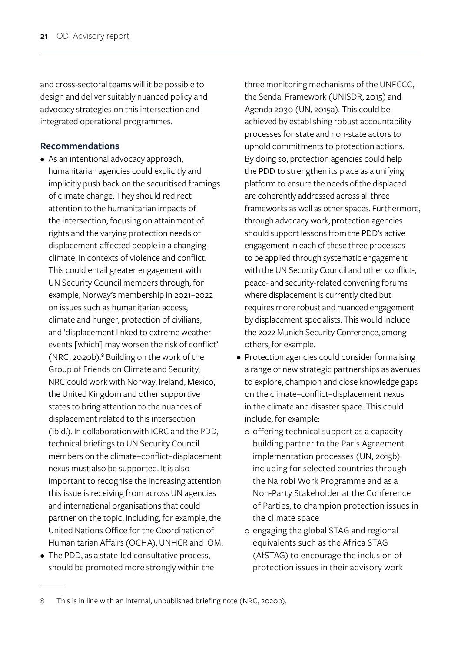and cross-sectoral teams will it be possible to design and deliver suitably nuanced policy and advocacy strategies on this intersection and integrated operational programmes.

#### **Recommendations**

- As an intentional advocacy approach, humanitarian agencies could explicitly and implicitly push back on the securitised framings of climate change. They should redirect attention to the humanitarian impacts of the intersection, focusing on attainment of rights and the varying protection needs of displacement-affected people in a changing climate, in contexts of violence and conflict. This could entail greater engagement with UN Security Council members through, for example, Norway's membership in 2021–2022 on issues such as humanitarian access, climate and hunger, protection of civilians, and 'displacement linked to extreme weather events [which] may worsen the risk of conflict' (NRC, 2020b).**<sup>8</sup>** Building on the work of the Group of Friends on Climate and Security, NRC could work with Norway, Ireland, Mexico, the United Kingdom and other supportive states to bring attention to the nuances of displacement related to this intersection (ibid.). In collaboration with ICRC and the PDD, technical briefings to UN Security Council members on the climate–conflict–displacement nexus must also be supported. It is also important to recognise the increasing attention this issue is receiving from across UN agencies and international organisations that could partner on the topic, including, for example, the United Nations Office for the Coordination of Humanitarian Affairs (OCHA), UNHCR and IOM.
- The PDD, as a state-led consultative process, should be promoted more strongly within the

three monitoring mechanisms of the UNFCCC, the Sendai Framework (UNISDR, 2015) and Agenda 2030 (UN, 2015a). This could be achieved by establishing robust accountability processes for state and non-state actors to uphold commitments to protection actions. By doing so, protection agencies could help the PDD to strengthen its place as a unifying platform to ensure the needs of the displaced are coherently addressed across all three frameworks as well as other spaces. Furthermore, through advocacy work, protection agencies should support lessons from the PDD's active engagement in each of these three processes to be applied through systematic engagement with the UN Security Council and other conflict-, peace- and security-related convening forums where displacement is currently cited but requires more robust and nuanced engagement by displacement specialists. This would include the 2022 Munich Security Conference, among others, for example.

- Protection agencies could consider formalising a range of new strategic partnerships as avenues to explore, champion and close knowledge gaps on the climate–conflict–displacement nexus in the climate and disaster space. This could include, for example:
	- o offering technical support as a capacitybuilding partner to the Paris Agreement implementation processes (UN, 2015b), including for selected countries through the Nairobi Work Programme and as a Non-Party Stakeholder at the Conference of Parties, to champion protection issues in the climate space
	- o engaging the global STAG and regional equivalents such as the Africa STAG (AfSTAG) to encourage the inclusion of protection issues in their advisory work

<sup>8</sup> This is in line with an internal, unpublished briefing note (NRC, 2020b).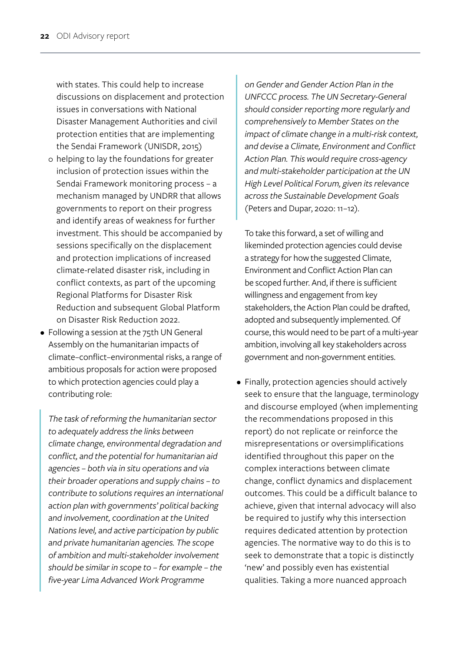with states. This could help to increase discussions on displacement and protection issues in conversations with National Disaster Management Authorities and civil protection entities that are implementing the Sendai Framework (UNISDR, 2015)

- o helping to lay the foundations for greater inclusion of protection issues within the Sendai Framework monitoring process – a mechanism managed by UNDRR that allows governments to report on their progress and identify areas of weakness for further investment. This should be accompanied by sessions specifically on the displacement and protection implications of increased climate-related disaster risk, including in conflict contexts, as part of the upcoming Regional Platforms for Disaster Risk Reduction and subsequent Global Platform on Disaster Risk Reduction 2022.
- Following a session at the 75th UN General Assembly on the humanitarian impacts of climate–conflict–environmental risks, a range of ambitious proposals for action were proposed to which protection agencies could play a contributing role:

*The task of reforming the humanitarian sector to adequately address the links between climate change, environmental degradation and conflict, and the potential for humanitarian aid agencies – both via in situ operations and via their broader operations and supply chains – to contribute to solutions requires an international action plan with governments' political backing and involvement, coordination at the United Nations level, and active participation by public and private humanitarian agencies. The scope of ambition and multi-stakeholder involvement should be similar in scope to – for example – the five-year Lima Advanced Work Programme* 

*on Gender and Gender Action Plan in the UNFCCC process. The UN Secretary-General should consider reporting more regularly and comprehensively to Member States on the impact of climate change in a multi-risk context, and devise a Climate, Environment and Conflict Action Plan. This would require cross-agency and multi-stakeholder participation at the UN High Level Political Forum, given its relevance across the Sustainable Development Goals*  (Peters and Dupar, 2020: 11–12).

To take this forward, a set of willing and likeminded protection agencies could devise a strategy for how the suggested Climate, Environment and Conflict Action Plan can be scoped further. And, if there is sufficient willingness and engagement from key stakeholders, the Action Plan could be drafted, adopted and subsequently implemented. Of course, this would need to be part of a multi-year ambition, involving all key stakeholders across government and non-government entities.

• Finally, protection agencies should actively seek to ensure that the language, terminology and discourse employed (when implementing the recommendations proposed in this report) do not replicate or reinforce the misrepresentations or oversimplifications identified throughout this paper on the complex interactions between climate change, conflict dynamics and displacement outcomes. This could be a difficult balance to achieve, given that internal advocacy will also be required to justify why this intersection requires dedicated attention by protection agencies. The normative way to do this is to seek to demonstrate that a topic is distinctly 'new' and possibly even has existential qualities. Taking a more nuanced approach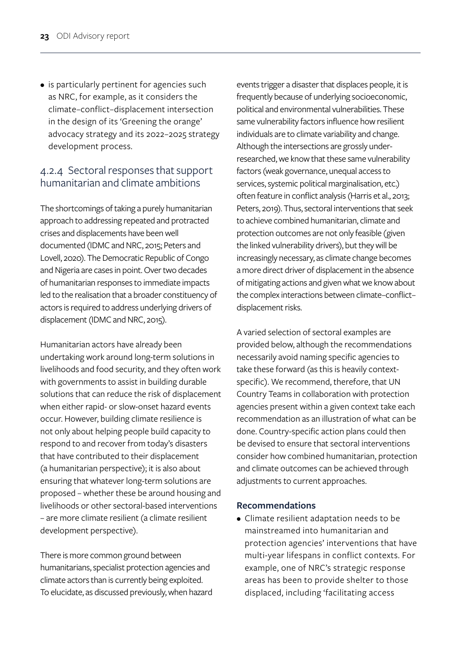• is particularly pertinent for agencies such as NRC, for example, as it considers the climate–conflict–displacement intersection in the design of its 'Greening the orange' advocacy strategy and its 2022–2025 strategy development process.

#### 4.2.4 Sectoral responses that support humanitarian and climate ambitions

The shortcomings of taking a purely humanitarian approach to addressing repeated and protracted crises and displacements have been well documented (IDMC and NRC, 2015; Peters and Lovell, 2020). The Democratic Republic of Congo and Nigeria are cases in point. Over two decades of humanitarian responses to immediate impacts led to the realisation that a broader constituency of actors is required to address underlying drivers of displacement (IDMC and NRC, 2015).

Humanitarian actors have already been undertaking work around long-term solutions in livelihoods and food security, and they often work with governments to assist in building durable solutions that can reduce the risk of displacement when either rapid- or slow-onset hazard events occur. However, building climate resilience is not only about helping people build capacity to respond to and recover from today's disasters that have contributed to their displacement (a humanitarian perspective); it is also about ensuring that whatever long-term solutions are proposed – whether these be around housing and livelihoods or other sectoral-based interventions – are more climate resilient (a climate resilient development perspective).

There is more common ground between humanitarians, specialist protection agencies and climate actors than is currently being exploited. To elucidate, as discussed previously, when hazard events trigger a disaster that displaces people, it is frequently because of underlying socioeconomic, political and environmental vulnerabilities. These same vulnerability factors influence how resilient individuals are to climate variability and change. Although the intersections are grossly underresearched, we know that these same vulnerability factors (weak governance, unequal access to services, systemic political marginalisation, etc.) often feature in conflict analysis (Harris et al., 2013; Peters, 2019). Thus, sectoral interventions that seek to achieve combined humanitarian, climate and protection outcomes are not only feasible (given the linked vulnerability drivers), but they will be increasingly necessary, as climate change becomes a more direct driver of displacement in the absence of mitigating actions and given what we know about the complex interactions between climate–conflict– displacement risks.

A varied selection of sectoral examples are provided below, although the recommendations necessarily avoid naming specific agencies to take these forward (as this is heavily contextspecific). We recommend, therefore, that UN Country Teams in collaboration with protection agencies present within a given context take each recommendation as an illustration of what can be done. Country-specific action plans could then be devised to ensure that sectoral interventions consider how combined humanitarian, protection and climate outcomes can be achieved through adjustments to current approaches.

#### **Recommendations**

• Climate resilient adaptation needs to be mainstreamed into humanitarian and protection agencies' interventions that have multi-year lifespans in conflict contexts. For example, one of NRC's strategic response areas has been to provide shelter to those displaced, including 'facilitating access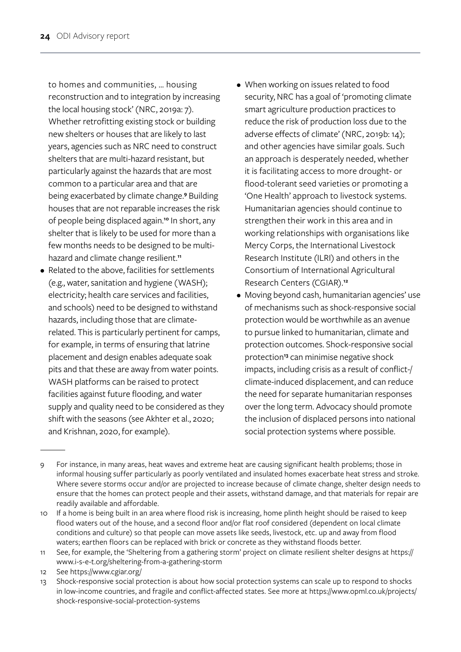to homes and communities, … housing reconstruction and to integration by increasing the local housing stock' (NRC, 2019a: 7). Whether retrofitting existing stock or building new shelters or houses that are likely to last years, agencies such as NRC need to construct shelters that are multi-hazard resistant, but particularly against the hazards that are most common to a particular area and that are being exacerbated by climate change.**<sup>9</sup>** Building houses that are not reparable increases the risk of people being displaced again.**10** In short, any shelter that is likely to be used for more than a few months needs to be designed to be multihazard and climate change resilient.**<sup>11</sup>**

- Related to the above, facilities for settlements (e.g., water, sanitation and hygiene (WASH); electricity; health care services and facilities, and schools) need to be designed to withstand hazards, including those that are climaterelated. This is particularly pertinent for camps, for example, in terms of ensuring that latrine placement and design enables adequate soak pits and that these are away from water points. WASH platforms can be raised to protect facilities against future flooding, and water supply and quality need to be considered as they shift with the seasons (see Akhter et al., 2020; and Krishnan, 2020, for example).
- When working on issues related to food security, NRC has a goal of 'promoting climate smart agriculture production practices to reduce the risk of production loss due to the adverse effects of climate' (NRC, 2019b: 14); and other agencies have similar goals. Such an approach is desperately needed, whether it is facilitating access to more drought- or flood-tolerant seed varieties or promoting a 'One Health' approach to livestock systems. Humanitarian agencies should continue to strengthen their work in this area and in working relationships with organisations like Mercy Corps, the International Livestock Research Institute (ILRI) and others in the Consortium of International Agricultural Research Centers (CGIAR).**<sup>12</sup>**
- Moving beyond cash, humanitarian agencies' use of mechanisms such as shock-responsive social protection would be worthwhile as an avenue to pursue linked to humanitarian, climate and protection outcomes. Shock-responsive social protection**13** can minimise negative shock impacts, including crisis as a result of conflict-/ climate-induced displacement, and can reduce the need for separate humanitarian responses over the long term. Advocacy should promote the inclusion of displaced persons into national social protection systems where possible.

- 11 See, for example, the 'Sheltering from a gathering storm' project on climate resilient shelter designs at https:// www.i-s-e-t.org/sheltering-from-a-gathering-storm
- 12 See https://www.cgiar.org/
- 13 Shock-responsive social protection is about how social protection systems can scale up to respond to shocks in low-income countries, and fragile and conflict-affected states. See more at https://www.opml.co.uk/projects/ shock-responsive-social-protection-systems

<sup>9</sup> For instance, in many areas, heat waves and extreme heat are causing significant health problems; those in informal housing suffer particularly as poorly ventilated and insulated homes exacerbate heat stress and stroke. Where severe storms occur and/or are projected to increase because of climate change, shelter design needs to ensure that the homes can protect people and their assets, withstand damage, and that materials for repair are readily available and affordable.

<sup>10</sup> If a home is being built in an area where flood risk is increasing, home plinth height should be raised to keep flood waters out of the house, and a second floor and/or flat roof considered (dependent on local climate conditions and culture) so that people can move assets like seeds, livestock, etc. up and away from flood waters; earthen floors can be replaced with brick or concrete as they withstand floods better.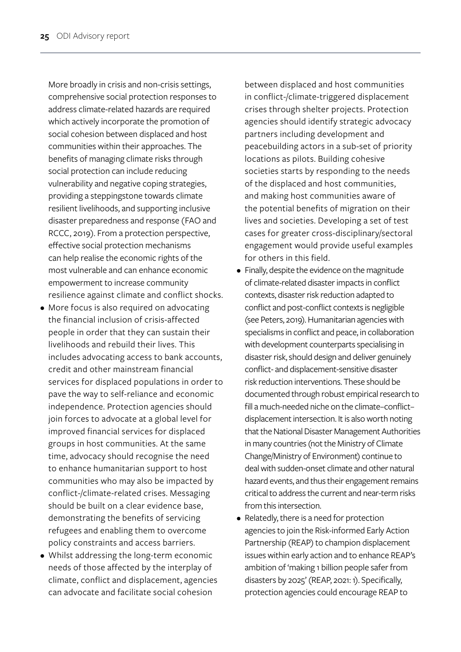More broadly in crisis and non-crisis settings, comprehensive social protection responses to address climate-related hazards are required which actively incorporate the promotion of social cohesion between displaced and host communities within their approaches. The benefits of managing climate risks through social protection can include reducing vulnerability and negative coping strategies, providing a steppingstone towards climate resilient livelihoods, and supporting inclusive disaster preparedness and response (FAO and RCCC, 2019). From a protection perspective, effective social protection mechanisms can help realise the economic rights of the most vulnerable and can enhance economic empowerment to increase community resilience against climate and conflict shocks.

- More focus is also required on advocating the financial inclusion of crisis-affected people in order that they can sustain their livelihoods and rebuild their lives. This includes advocating access to bank accounts, credit and other mainstream financial services for displaced populations in order to pave the way to self-reliance and economic independence. Protection agencies should join forces to advocate at a global level for improved financial services for displaced groups in host communities. At the same time, advocacy should recognise the need to enhance humanitarian support to host communities who may also be impacted by conflict-/climate-related crises. Messaging should be built on a clear evidence base, demonstrating the benefits of servicing refugees and enabling them to overcome policy constraints and access barriers.
- Whilst addressing the long-term economic needs of those affected by the interplay of climate, conflict and displacement, agencies can advocate and facilitate social cohesion

between displaced and host communities in conflict-/climate-triggered displacement crises through shelter projects. Protection agencies should identify strategic advocacy partners including development and peacebuilding actors in a sub-set of priority locations as pilots. Building cohesive societies starts by responding to the needs of the displaced and host communities, and making host communities aware of the potential benefits of migration on their lives and societies. Developing a set of test cases for greater cross-disciplinary/sectoral engagement would provide useful examples for others in this field.

- Finally, despite the evidence on the magnitude of climate-related disaster impacts in conflict contexts, disaster risk reduction adapted to conflict and post-conflict contexts is negligible (see Peters, 2019). Humanitarian agencies with specialisms in conflict and peace, in collaboration with development counterparts specialising in disaster risk, should design and deliver genuinely conflict- and displacement-sensitive disaster risk reduction interventions. These should be documented through robust empirical research to fill a much-needed niche on the climate–conflict– displacement intersection. It is also worth noting that the National Disaster Management Authorities in many countries (not the Ministry of Climate Change/Ministry of Environment) continue to deal with sudden-onset climate and other natural hazard events, and thus their engagement remains critical to address the current and near-term risks from this intersection.
- Relatedly, there is a need for protection agencies to join the Risk-informed Early Action Partnership (REAP) to champion displacement issues within early action and to enhance REAP's ambition of 'making 1 billion people safer from disasters by 2025' (REAP, 2021: 1). Specifically, protection agencies could encourage REAP to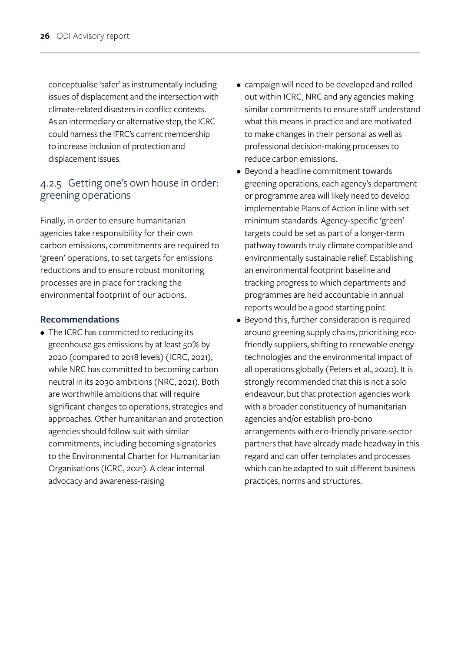conceptualise 'safer' as instrumentally including issues of displacement and the intersection with climate-related disasters in conflict contexts. As an intermediary or alternative step, the ICRC could harness the IFRC's current membership to increase inclusion of protection and displacement issues.

## 4.2.5 Getting one's own house in order: greening operations

Finally, in order to ensure humanitarian agencies take responsibility for their own carbon emissions, commitments are required to 'green' operations, to set targets for emissions reductions and to ensure robust monitoring processes are in place for tracking the environmental footprint of our actions.

#### **Recommendations**

• The ICRC has committed to reducing its greenhouse gas emissions by at least 50% by 2020 (compared to 2018 levels) (ICRC, 2021), while NRC has committed to becoming carbon neutral in its 2030 ambitions (NRC, 2021). Both are worthwhile ambitions that will require significant changes to operations, strategies and approaches. Other humanitarian and protection agencies should follow suit with similar commitments, including becoming signatories to the Environmental Charter for Humanitarian Organisations (ICRC, 2021). A clear internal advocacy and awareness-raising

- campaign will need to be developed and rolled out within ICRC, NRC and any agencies making similar commitments to ensure staff understand what this means in practice and are motivated to make changes in their personal as well as professional decision-making processes to reduce carbon emissions.
- Beyond a headline commitment towards greening operations, each agency's department or programme area will likely need to develop implementable Plans of Action in line with set minimum standards. Agency-specific 'green' targets could be set as part of a longer-term pathway towards truly climate compatible and environmentally sustainable relief. Establishing an environmental footprint baseline and tracking progress to which departments and programmes are held accountable in annual reports would be a good starting point.
- Beyond this, further consideration is required around greening supply chains, prioritising ecofriendly suppliers, shifting to renewable energy technologies and the environmental impact of all operations globally (Peters et al., 2020). It is strongly recommended that this is not a solo endeavour, but that protection agencies work with a broader constituency of humanitarian agencies and/or establish pro-bono arrangements with eco-friendly private-sector partners that have already made headway in this regard and can offer templates and processes which can be adapted to suit different business practices, norms and structures.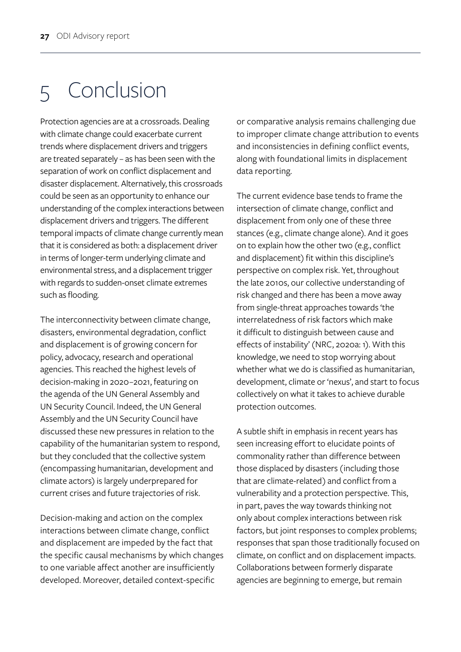# 5 Conclusion

Protection agencies are at a crossroads. Dealing with climate change could exacerbate current trends where displacement drivers and triggers are treated separately – as has been seen with the separation of work on conflict displacement and disaster displacement. Alternatively, this crossroads could be seen as an opportunity to enhance our understanding of the complex interactions between displacement drivers and triggers. The different temporal impacts of climate change currently mean that it is considered as both: a displacement driver in terms of longer-term underlying climate and environmental stress, and a displacement trigger with regards to sudden-onset climate extremes such as flooding.

The interconnectivity between climate change, disasters, environmental degradation, conflict and displacement is of growing concern for policy, advocacy, research and operational agencies. This reached the highest levels of decision-making in 2020–2021, featuring on the agenda of the UN General Assembly and UN Security Council. Indeed, the UN General Assembly and the UN Security Council have discussed these new pressures in relation to the capability of the humanitarian system to respond, but they concluded that the collective system (encompassing humanitarian, development and climate actors) is largely underprepared for current crises and future trajectories of risk.

Decision-making and action on the complex interactions between climate change, conflict and displacement are impeded by the fact that the specific causal mechanisms by which changes to one variable affect another are insufficiently developed. Moreover, detailed context-specific

or comparative analysis remains challenging due to improper climate change attribution to events and inconsistencies in defining conflict events, along with foundational limits in displacement data reporting.

The current evidence base tends to frame the intersection of climate change, conflict and displacement from only one of these three stances (e.g., climate change alone). And it goes on to explain how the other two (e.g., conflict and displacement) fit within this discipline's perspective on complex risk. Yet, throughout the late 2010s, our collective understanding of risk changed and there has been a move away from single-threat approaches towards 'the interrelatedness of risk factors which make it difficult to distinguish between cause and effects of instability' (NRC, 2020a: 1). With this knowledge, we need to stop worrying about whether what we do is classified as humanitarian, development, climate or 'nexus', and start to focus collectively on what it takes to achieve durable protection outcomes.

A subtle shift in emphasis in recent years has seen increasing effort to elucidate points of commonality rather than difference between those displaced by disasters (including those that are climate-related) and conflict from a vulnerability and a protection perspective. This, in part, paves the way towards thinking not only about complex interactions between risk factors, but joint responses to complex problems; responses that span those traditionally focused on climate, on conflict and on displacement impacts. Collaborations between formerly disparate agencies are beginning to emerge, but remain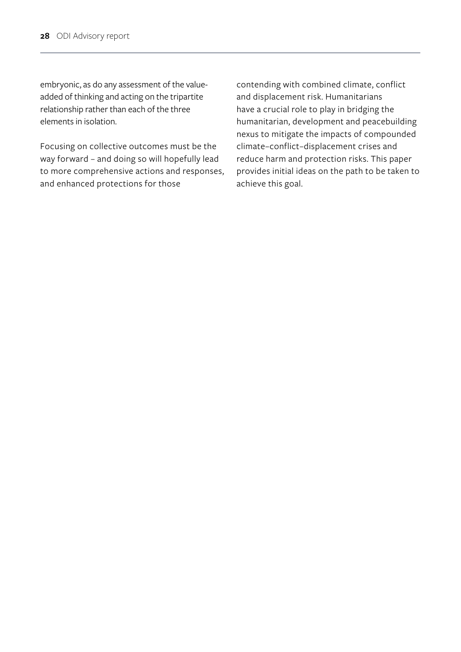embryonic, as do any assessment of the valueadded of thinking and acting on the tripartite relationship rather than each of the three elements in isolation.

Focusing on collective outcomes must be the way forward – and doing so will hopefully lead to more comprehensive actions and responses, and enhanced protections for those

contending with combined climate, conflict and displacement risk. Humanitarians have a crucial role to play in bridging the humanitarian, development and peacebuilding nexus to mitigate the impacts of compounded climate–conflict–displacement crises and reduce harm and protection risks. This paper provides initial ideas on the path to be taken to achieve this goal.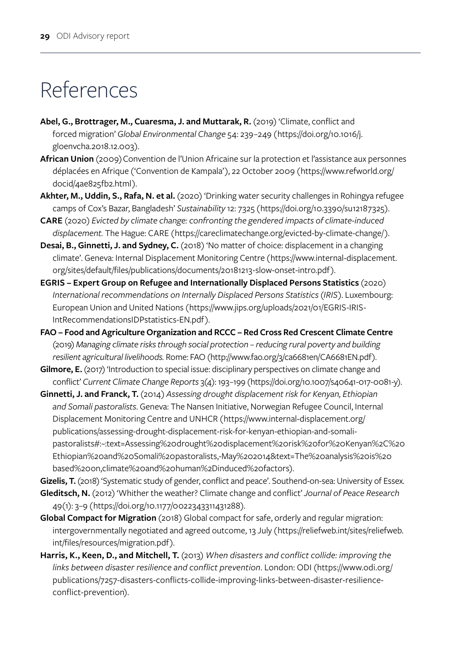# References

- Abel, G., Brottrager, M., Cuaresma, J. and Muttarak, R. (2019) 'Climate, conflict and forced migration' *Global Environmental Change* 54: 239–249 ([https://doi.org/10.1016/j.](https://doi.org/10.1016/j.gloenvcha.2018.12.003) [gloenvcha.2018.12.003\)](https://doi.org/10.1016/j.gloenvcha.2018.12.003).
- **African Union** (2009) Convention de l'Union Africaine sur la protection et l'assistance aux personnes déplacées en Afrique ('Convention de Kampala'), 22 October 2009 (https://www.refworld.org/ docid/4ae825fb2.html).
- **Akhter, M., Uddin, S., Rafa, N. et al.** (2020) 'Drinking water security challenges in Rohingya refugee camps of Cox's Bazar, Bangladesh' *Sustainability* 12: 7325 ([https://doi.org/10.3390/su12187325\)](https://doi.org/10.3390/su12187325).
- **CARE** (2020) *Evicted by climate change: confronting the gendered impacts of climate-induced displacement.* The Hague: CARE ([https://careclimatechange.org/evicted-by-climate-change/\)](https://careclimatechange.org/evicted-by-climate-change/).
- **Desai, B., Ginnetti, J. and Sydney, C.** (2018) 'No matter of choice: displacement in a changing climate'. Geneva: Internal Displacement Monitoring Centre ([https://www.internal-displacement.](https://www.internal-displacement.org/sites/default/files/publications/documents/20181213-slow-onset-intro.pdf) [org/sites/default/files/publications/documents/20181213-slow-onset-intro.pdf](https://www.internal-displacement.org/sites/default/files/publications/documents/20181213-slow-onset-intro.pdf)).
- **EGRIS Expert Group on Refugee and Internationally Displaced Persons Statistics** (2020) *International recommendations on Internally Displaced Persons Statistics (IRIS)*. Luxembourg: European Union and United Nations ([https://www.jips.org/uploads/2021/01/EGRIS-IRIS-](https://www.jips.org/uploads/2021/01/EGRIS-IRIS-IntRecommendationsIDPstatistics-EN.pdf)[IntRecommendationsIDPstatistics-EN.pdf](https://www.jips.org/uploads/2021/01/EGRIS-IRIS-IntRecommendationsIDPstatistics-EN.pdf)).
- **FAO Food and Agriculture Organization and RCCC Red Cross Red Crescent Climate Centre**  (2019) *Managing climate risks through social protection – reducing rural poverty and building resilient agricultural livelihoods.* Rome: FAO ([http://www.fao.org/3/ca6681en/CA6681EN.pdf\)](http://www.fao.org/3/ca6681en/CA6681EN.pdf).
- Gilmore, E. (2017) 'Introduction to special issue: disciplinary perspectives on climate change and conflict' *Current Climate Change Reports* 3(4): 193–199 (<https://doi.org/10.1007/s40641-017-0081-y>).
- **Ginnetti, J. and Franck, T.** (2014) *Assessing drought displacement risk for Kenyan, Ethiopian and Somali pastoralists*. Geneva: The Nansen Initiative, Norwegian Refugee Council, Internal Displacement Monitoring Centre and UNHCR (https://www.internal-displacement.org/ publications/assessing-drought-displacement-risk-for-kenyan-ethiopian-and-somalipastoralists#:~:text=Assessing%20drought%20displacement%20risk%20for%20Kenyan%2C%20 Ethiopian%20and%20Somali%20pastoralists,-May%202014&text=The%20analysis%20is%20 based%20on,climate%20and%20human%2Dinduced%20factors).

Gizelis, T. (2018) 'Systematic study of gender, conflict and peace'. Southend-on-sea: University of Essex. **Gleditsch, N.** (2012) 'Whither the weather? Climate change and conflict' *Journal of Peace Research* 49(1): 3–9 ([https://doi.org/10.1177/0022343311431288\)](https://doi.org/10.1177/0022343311431288).

- **Global Compact for Migration** (2018) Global compact for safe, orderly and regular migration: intergovernmentally negotiated and agreed outcome, 13 July (https://reliefweb.int/sites/reliefweb. int/files/resources/migration.pdf).
- **Harris, K., Keen, D., and Mitchell, T.** (2013) *When disasters and conflict collide: improving the links between disaster resilience and conflict prevention*. London: ODI ([https://www.odi.org/](https://www.odi.org/publications/7257-disasters-conflicts-collide-improving-links-between-disaster-resilience-conflict-prevention) [publications/7257-disasters-conflicts-collide-improving-links-between-disaster-resilience](https://www.odi.org/publications/7257-disasters-conflicts-collide-improving-links-between-disaster-resilience-conflict-prevention)[conflict-prevention](https://www.odi.org/publications/7257-disasters-conflicts-collide-improving-links-between-disaster-resilience-conflict-prevention)).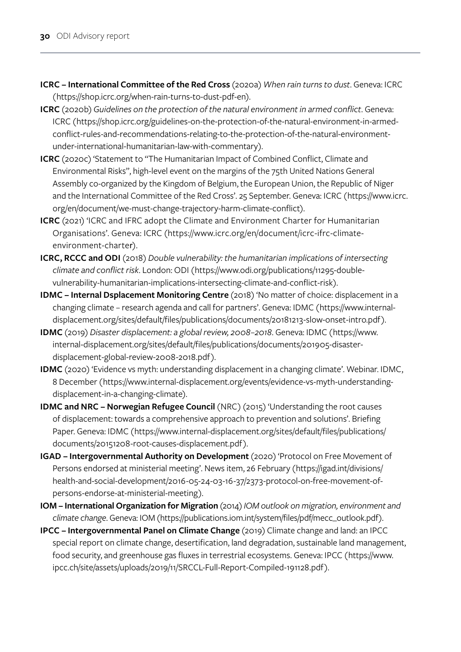- **ICRC International Committee of the Red Cross** (2020a) *When rain turns to dust*. Geneva: ICRC ([https://shop.icrc.org/when-rain-turns-to-dust-pdf-en\)](https://shop.icrc.org/when-rain-turns-to-dust-pdf-en).
- **ICRC** (2020b) *Guidelines on the protection of the natural environment in armed conflict*. Geneva: ICRC ([https://shop.icrc.org/guidelines-on-the-protection-of-the-natural-environment-in-armed](https://shop.icrc.org/guidelines-on-the-protection-of-the-natural-environment-in-armed-conflict-rules-and-recommendations-relating-to-the-protection-of-the-natural-environment-under-international-humanitarian-law-with-commentary)[conflict-rules-and-recommendations-relating-to-the-protection-of-the-natural-environment](https://shop.icrc.org/guidelines-on-the-protection-of-the-natural-environment-in-armed-conflict-rules-and-recommendations-relating-to-the-protection-of-the-natural-environment-under-international-humanitarian-law-with-commentary)[under-international-humanitarian-law-with-commentary](https://shop.icrc.org/guidelines-on-the-protection-of-the-natural-environment-in-armed-conflict-rules-and-recommendations-relating-to-the-protection-of-the-natural-environment-under-international-humanitarian-law-with-commentary)).
- **ICRC** (2020c) 'Statement to "The Humanitarian Impact of Combined Conflict, Climate and Environmental Risks", high-level event on the margins of the 75th United Nations General Assembly co-organized by the Kingdom of Belgium, the European Union, the Republic of Niger and the International Committee of the Red Cross'. 25 September. Geneva: ICRC ([https://www.icrc.](https://www.icrc.org/en/document/we-must-change-trajectory-harm-climate-conflict) [org/en/document/we-must-change-trajectory-harm-climate-conflict\)](https://www.icrc.org/en/document/we-must-change-trajectory-harm-climate-conflict).
- **ICRC** (2021) 'ICRC and IFRC adopt the Climate and Environment Charter for Humanitarian Organisations'. Geneva: ICRC ([https://www.icrc.org/en/document/icrc-ifrc-climate](https://www.icrc.org/en/document/icrc-ifrc-climate-environment-charter)[environment-charte](https://www.icrc.org/en/document/icrc-ifrc-climate-environment-charter)r).
- **ICRC, RCCC and ODI** (2018) *Double vulnerability: the humanitarian implications of intersecting climate and conflict risk*. London: ODI ([https://www.odi.org/publications/11295-double](https://www.odi.org/publications/11295-double-vulnerability-humanitarian-implications-intersecting-climate-and-conflict-risk%20Accessed%2020th%20October%202020)[vulnerability-humanitarian-implications-intersecting-climate-and-conflict-risk](https://www.odi.org/publications/11295-double-vulnerability-humanitarian-implications-intersecting-climate-and-conflict-risk%20Accessed%2020th%20October%202020)).
- **IDMC Internal Dsplacement Monitoring Centre** (2018) 'No matter of choice: displacement in a changing climate – research agenda and call for partners'. Geneva: IDMC ([https://www.internal](https://www.internal-displacement.org/sites/default/files/publications/documents/20181213-slow-onset-intro.pdf)[displacement.org/sites/default/files/publications/documents/20181213-slow-onset-intro.pdf\)](https://www.internal-displacement.org/sites/default/files/publications/documents/20181213-slow-onset-intro.pdf).
- **IDMC** (2019) *Disaster displacement: a global review, 2008–2018*. Geneva: IDMC ([https://www.](https://www.internal-displacement.org/sites/default/files/publications/documents/201905-disaster-displacement-global-review-2008-2018.pdf) [internal-displacement.org/sites/default/files/publications/documents/201905-disaster](https://www.internal-displacement.org/sites/default/files/publications/documents/201905-disaster-displacement-global-review-2008-2018.pdf)[displacement-global-review-2008-2018.pdf\)](https://www.internal-displacement.org/sites/default/files/publications/documents/201905-disaster-displacement-global-review-2008-2018.pdf).
- **IDMC** (2020) 'Evidence vs myth: understanding displacement in a changing climate'. Webinar. IDMC, 8 December ([https://www.internal-displacement.org/events/evidence-vs-myth-understanding](https://www.internal-displacement.org/events/evidence-vs-myth-understanding-displacement-in-a-changing-climate)[displacement-in-a-changing-climate\)](https://www.internal-displacement.org/events/evidence-vs-myth-understanding-displacement-in-a-changing-climate).
- **IDMC and NRC Norwegian Refugee Council** (NRC) (2015) 'Understanding the root causes of displacement: towards a comprehensive approach to prevention and solutions'. Briefing Paper. Geneva: IDMC ([https://www.internal-displacement.org/sites/default/files/publications/](https://www.internal-displacement.org/sites/default/files/publications/documents/20151208-root-causes-displacement.pdf) [documents/20151208-root-causes-displacement.pdf](https://www.internal-displacement.org/sites/default/files/publications/documents/20151208-root-causes-displacement.pdf)).
- **IGAD Intergovernmental Authority on Development** (2020) 'Protocol on Free Movement of Persons endorsed at ministerial meeting'. News item, 26 February ([https://igad.int/divisions/](https://igad.int/divisions/health-and-social-development/2016-05-24-03-16-37/2373-protocol-on-free-movement-of-persons-endorse-at-ministerial-meeting) [health-and-social-development/2016-05-24-03-16-37/2373-protocol-on-free-movement-of](https://igad.int/divisions/health-and-social-development/2016-05-24-03-16-37/2373-protocol-on-free-movement-of-persons-endorse-at-ministerial-meeting)[persons-endorse-at-ministerial-meeting](https://igad.int/divisions/health-and-social-development/2016-05-24-03-16-37/2373-protocol-on-free-movement-of-persons-endorse-at-ministerial-meeting)).
- **IOM International Organization for Migration** (2014) *IOM outlook on migration, environment and climate change*. Geneva: IOM ([https://publications.iom.int/system/files/pdf/mecc\\_outlook.pdf](https://publications.iom.int/system/files/pdf/mecc_outlook.pdf)).
- **IPCC Intergovernmental Panel on Climate Change** (2019) Climate change and land: an IPCC special report on climate change, desertification, land degradation, sustainable land management, food security, and greenhouse gas fluxes in terrestrial ecosystems. Geneva: IPCC ([https://www.](https://www.ipcc.ch/site/assets/uploads/2019/11/SRCCL-Full-Report-Compiled-191128.pdf) [ipcc.ch/site/assets/uploads/2019/11/SRCCL-Full-Report-Compiled-191128.pdf](https://www.ipcc.ch/site/assets/uploads/2019/11/SRCCL-Full-Report-Compiled-191128.pdf)).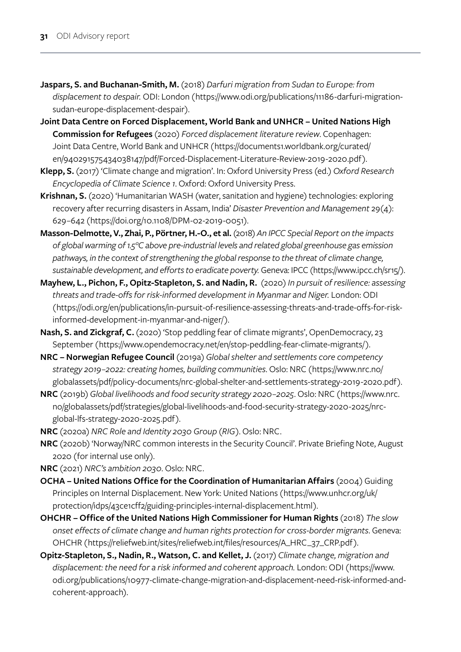- **Jaspars, S. and Buchanan-Smith, M.** (2018) *Darfuri migration from Sudan to Europe: from displacement to despair.* ODI: London ([https://www.odi.org/publications/11186-darfuri-migration](https://www.odi.org/publications/11186-darfuri-migration-sudan-europe-displacement-despair)[sudan-europe-displacement-despair\)](https://www.odi.org/publications/11186-darfuri-migration-sudan-europe-displacement-despair).
- **Joint Data Centre on Forced Displacement, World Bank and UNHCR United Nations High Commission for Refugees** (2020) *Forced displacement literature review*. Copenhagen: Joint Data Centre, World Bank and UNHCR ([https://documents1.worldbank.org/curated/](https://documents1.worldbank.org/curated/en/940291575434038147/pdf/Forced-Displacement-Literature-Review-2019-2020.pdf) [en/940291575434038147/pdf/Forced-Displacement-Literature-Review-2019-2020.pdf](https://documents1.worldbank.org/curated/en/940291575434038147/pdf/Forced-Displacement-Literature-Review-2019-2020.pdf)).
- **Klepp, S.** (2017) 'Climate change and migration'. In: Oxford University Press (ed.) *Oxford Research Encyclopedia of Climate Science 1*. Oxford: Oxford University Press.
- **Krishnan, S.** (2020) 'Humanitarian WASH (water, sanitation and hygiene) technologies: exploring recovery after recurring disasters in Assam, India' *Disaster Prevention and Management* 29(4): 629–642 ([https://doi.org/10.1108/DPM-02-2019-0051\)](https://doi.org/10.1108/DPM-02-2019-0051).
- **Masson-Delmotte, V., Zhai, P., Pörtner, H.-O., et al.** (2018) *An IPCC Special Report on the impacts of global warming of 1.5°C above pre-industrial levels and related global greenhouse gas emission pathways, in the context of strengthening the global response to the threat of climate change, sustainable development, and efforts to eradicate poverty.* Geneva: IPCC (<https://www.ipcc.ch/sr15/>).
- **Mayhew, L., Pichon, F., Opitz-Stapleton, S. and Nadin, R.** (2020) *In pursuit of resilience: assessing threats and trade-offs for risk-informed development in Myanmar and Niger.* London: ODI ([https://odi.org/en/publications/in-pursuit-of-resilience-assessing-threats-and-trade-offs-for-risk](https://odi.org/en/publications/in-pursuit-of-resilience-assessing-threats-and-trade-offs-for-risk-informed-development-in-myanmar-and-niger/)[informed-development-in-myanmar-and-niger/](https://odi.org/en/publications/in-pursuit-of-resilience-assessing-threats-and-trade-offs-for-risk-informed-development-in-myanmar-and-niger/)).
- **Nash, S. and Zickgraf, C.** (2020) 'Stop peddling fear of climate migrants', OpenDemocracy, 23 September (<https://www.opendemocracy.net/en/stop-peddling-fear-climate-migrants/>).
- **NRC Norwegian Refugee Council** (2019a) *Global shelter and settlements core competency strategy 2019–2022: creating homes, building communities*. Oslo: NRC ([https://www.nrc.no/](https://www.nrc.no/globalassets/pdf/policy-documents/nrc-global-shelter-and-settlements-strategy-2019-2020.pdf) [globalassets/pdf/policy-documents/nrc-global-shelter-and-settlements-strategy-2019-2020.pdf](https://www.nrc.no/globalassets/pdf/policy-documents/nrc-global-shelter-and-settlements-strategy-2019-2020.pdf)).
- **NRC** (2019b) *Global livelihoods and food security strategy 2020–2025*. Oslo: NRC ([https://www.nrc.](https://www.nrc.no/globalassets/pdf/strategies/global-livelihoods-and-food-security-strategy-2020-2025/nrc-global-lfs-strategy-2020-2025.pdf) [no/globalassets/pdf/strategies/global-livelihoods-and-food-security-strategy-2020-2025/nrc](https://www.nrc.no/globalassets/pdf/strategies/global-livelihoods-and-food-security-strategy-2020-2025/nrc-global-lfs-strategy-2020-2025.pdf)[global-lfs-strategy-2020-2025.pdf](https://www.nrc.no/globalassets/pdf/strategies/global-livelihoods-and-food-security-strategy-2020-2025/nrc-global-lfs-strategy-2020-2025.pdf)).
- **NRC** (2020a) *NRC Role and Identity 2030 Group (RIG)*. Oslo: NRC.
- **NRC** (2020b) 'Norway/NRC common interests in the Security Council'. Private Briefing Note, August 2020 (for internal use only).
- **NRC** (2021) *NRC's ambition 2030*. Oslo: NRC.
- **OCHA United Nations Office for the Coordination of Humanitarian Affairs** (2004) Guiding Principles on Internal Displacement. New York: United Nations ([https://www.unhcr.org/uk/](https://www.unhcr.org/uk/protection/idps/43ce1cff2/guiding-principles-internal-displacement.html) [protection/idps/43ce1cff2/guiding-principles-internal-displacement.html\)](https://www.unhcr.org/uk/protection/idps/43ce1cff2/guiding-principles-internal-displacement.html).
- **OHCHR Office of the United Nations High Commissioner for Human Rights** (2018) *The slow onset effects of climate change and human rights protection for cross-border migrants*. Geneva: OHCHR ([https://reliefweb.int/sites/reliefweb.int/files/resources/A\\_HRC\\_37\\_CRP.pdf\)](https://reliefweb.int/sites/reliefweb.int/files/resources/A_HRC_37_CRP.pdf).
- **Opitz-Stapleton, S., Nadin, R., Watson, C. and Kellet, J.** (2017) *Climate change, migration and displacement: the need for a risk informed and coherent approach.* London: ODI ([https://www.](https://www.odi.org/publications/10977-climate-change-migration-and-displacement-need-risk-informed-and-coherent-approach) [odi.org/publications/10977-climate-change-migration-and-displacement-need-risk-informed-and](https://www.odi.org/publications/10977-climate-change-migration-and-displacement-need-risk-informed-and-coherent-approach)[coherent-approach](https://www.odi.org/publications/10977-climate-change-migration-and-displacement-need-risk-informed-and-coherent-approach)).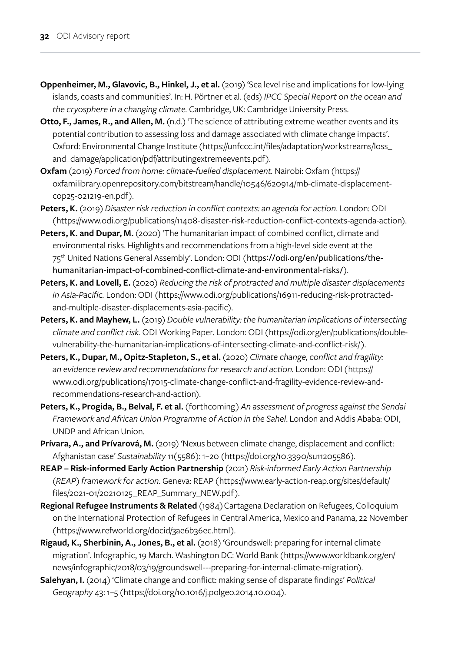- **Oppenheimer, M., Glavovic, B., Hinkel, J., et al.** (2019) 'Sea level rise and implications for low-lying islands, coasts and communities'. In: H. Pörtner et al. (eds) *IPCC Special Report on the ocean and the cryosphere in a changing climate.* Cambridge, UK: Cambridge University Press.
- **Otto, F., James, R., and Allen, M.** (n.d.) 'The science of attributing extreme weather events and its potential contribution to assessing loss and damage associated with climate change impacts'. Oxford: Environmental Change Institute ([https://unfccc.int/files/adaptation/workstreams/loss\\_](https://unfccc.int/files/adaptation/workstreams/loss_and_damage/application/pdf/attributingextremeevents.pdf) [and\\_damage/application/pdf/attributingextremeevents.pdf](https://unfccc.int/files/adaptation/workstreams/loss_and_damage/application/pdf/attributingextremeevents.pdf)).
- **Oxfam** (2019) *Forced from home: climate-fuelled displacement.* Nairobi: Oxfam (https:// oxfamilibrary.openrepository.com/bitstream/handle/10546/620914/mb-climate-displacementcop25-021219-en.pdf).
- **Peters, K.** (2019) *Disaster risk reduction in conflict contexts: an agenda for action*. London: ODI (<https://www.odi.org/publications/11408-disaster-risk-reduction-conflict-contexts-agenda-action>).
- Peters, K. and Dupar, M. (2020) 'The humanitarian impact of combined conflict, climate and environmental risks. Highlights and recommendations from a high-level side event at the 75<sup>th</sup> United Nations General Assembly'. London: ODI (https://odi.org/en/[publications](https://odi.org/en/publications/the-humanitarian-impact-of-combined-conflict-climate-and-environmental-risks/)/the[humanitarian-impact-of-combined-conflict-climate-and-environmental-risks](https://odi.org/en/publications/the-humanitarian-impact-of-combined-conflict-climate-and-environmental-risks/)/).
- **Peters, K. and Lovell, E.** (2020) *Reducing the risk of protracted and multiple disaster displacements in Asia-Pacific.* London: ODI ([https://www.odi.org/publications/16911-reducing-risk-protracted](https://www.odi.org/publications/16911-reducing-risk-protracted-and-multiple-disaster-displacements-asia-pacific)[and-multiple-disaster-displacements-asia-pacific\)](https://www.odi.org/publications/16911-reducing-risk-protracted-and-multiple-disaster-displacements-asia-pacific).
- **Peters, K. and Mayhew, L.** (2019) *Double vulnerability: the humanitarian implications of intersecting climate and conflict risk.* ODI Working Paper. London: ODI ([https://odi.org/en/publications/double](https://odi.org/en/publications/double-vulnerability-the-humanitarian-implications-of-intersecting-climate-and-conflict-risk/)[vulnerability-the-humanitarian-implications-of-intersecting-climate-and-conflict-risk/](https://odi.org/en/publications/double-vulnerability-the-humanitarian-implications-of-intersecting-climate-and-conflict-risk/)).
- **Peters, K., Dupar, M., Opitz-Stapleton, S., et al.** (2020) *Climate change, conflict and fragility: an evidence review and recommendations for research and action.* London: ODI (https:// www.odi.org/publications/17015-climate-change-conflict-and-fragility-evidence-review-andrecommendations-research-and-action).
- **Peters, K., Progida, B., Belval, F. et al.** (forthcoming) *An assessment of progress against the Sendai Framework and African Union Programme of Action in the Sahel*. London and Addis Ababa: ODI, UNDP and African Union.
- Prívara, A., and Prívarová, M. (2019) 'Nexus between climate change, displacement and conflict: Afghanistan case' *Sustainability* 11(5586): 1–20 ([https://doi.org/10.3390/su11205586\)](https://doi.org/10.3390/su11205586).
- **REAP Risk-informed Early Action Partnership** (2021) *Risk-informed Early Action Partnership (REAP) framework for action*. Geneva: REAP ([https://www.early-action-reap.org/sites/default/](https://www.early-action-reap.org/sites/default/files/2021-01/20210125_REAP_Summary_NEW.pdf) [files/2021-01/20210125\\_REAP\\_Summary\\_NEW.pdf](https://www.early-action-reap.org/sites/default/files/2021-01/20210125_REAP_Summary_NEW.pdf)).
- **Regional Refugee Instruments & Related** (1984) Cartagena Declaration on Refugees, Colloquium on the International Protection of Refugees in Central America, Mexico and Panama, 22 November (<https://www.refworld.org/docid/3ae6b36ec.html>).
- **Rigaud, K., Sherbinin, A., Jones, B., et al.** (2018) 'Groundswell: preparing for internal climate migration'. Infographic, 19 March. Washington DC: World Bank ([https://www.worldbank.org/en/](https://www.worldbank.org/en/news/infographic/2018/03/19/groundswell---preparing-for-internal-climate-migration) [news/infographic/2018/03/19/groundswell---preparing-for-internal-climate-migration\)](https://www.worldbank.org/en/news/infographic/2018/03/19/groundswell---preparing-for-internal-climate-migration).
- **Salehyan, I.** (2014) 'Climate change and conflict: making sense of disparate findings' *Political Geography* 43: 1–5 (<https://doi.org/10.1016/j.polgeo.2014.10.004>).